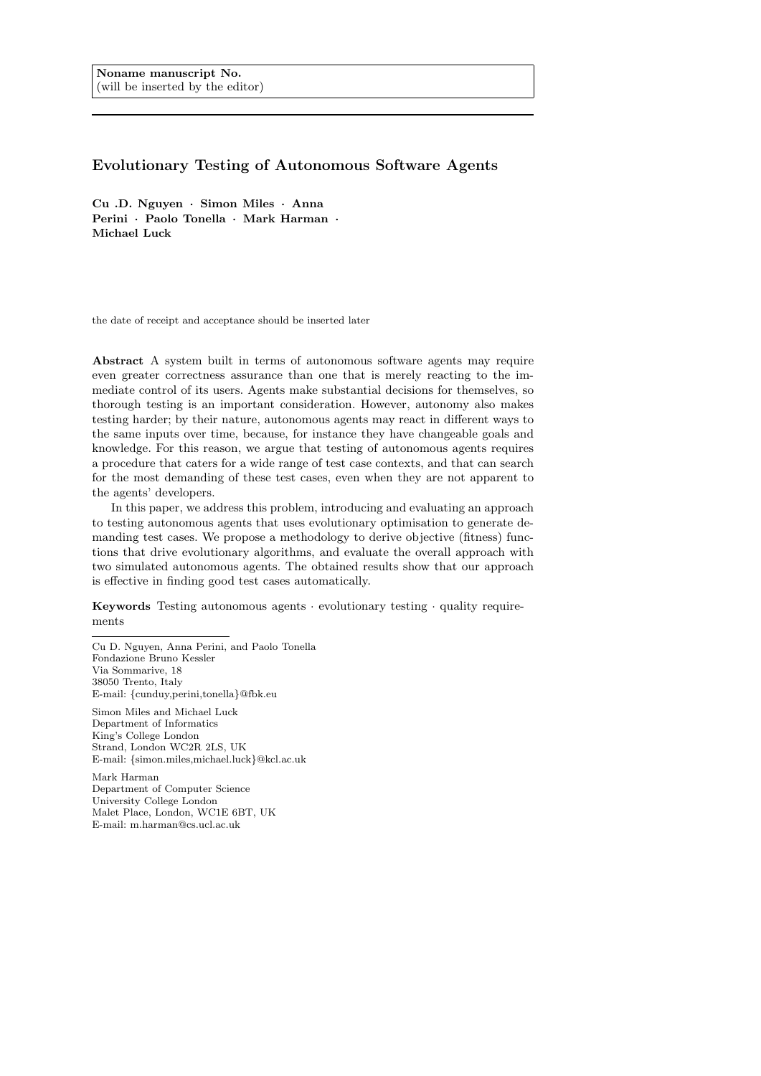# Evolutionary Testing of Autonomous Software Agents

Cu .D. Nguyen · Simon Miles · Anna Perini · Paolo Tonella · Mark Harman · Michael Luck

the date of receipt and acceptance should be inserted later

Abstract A system built in terms of autonomous software agents may require even greater correctness assurance than one that is merely reacting to the immediate control of its users. Agents make substantial decisions for themselves, so thorough testing is an important consideration. However, autonomy also makes testing harder; by their nature, autonomous agents may react in different ways to the same inputs over time, because, for instance they have changeable goals and knowledge. For this reason, we argue that testing of autonomous agents requires a procedure that caters for a wide range of test case contexts, and that can search for the most demanding of these test cases, even when they are not apparent to the agents' developers.

In this paper, we address this problem, introducing and evaluating an approach to testing autonomous agents that uses evolutionary optimisation to generate demanding test cases. We propose a methodology to derive objective (fitness) functions that drive evolutionary algorithms, and evaluate the overall approach with two simulated autonomous agents. The obtained results show that our approach is effective in finding good test cases automatically.

Keywords Testing autonomous agents · evolutionary testing · quality requirements

Cu D. Nguyen, Anna Perini, and Paolo Tonella Fondazione Bruno Kessler Via Sommarive, 18 38050 Trento, Italy E-mail: {cunduy,perini,tonella}@fbk.eu

Simon Miles and Michael Luck Department of Informatics King's College London Strand, London WC2R 2LS, UK E-mail: {simon.miles,michael.luck}@kcl.ac.uk

Mark Harman Department of Computer Science University College London Malet Place, London, WC1E 6BT, UK E-mail: m.harman@cs.ucl.ac.uk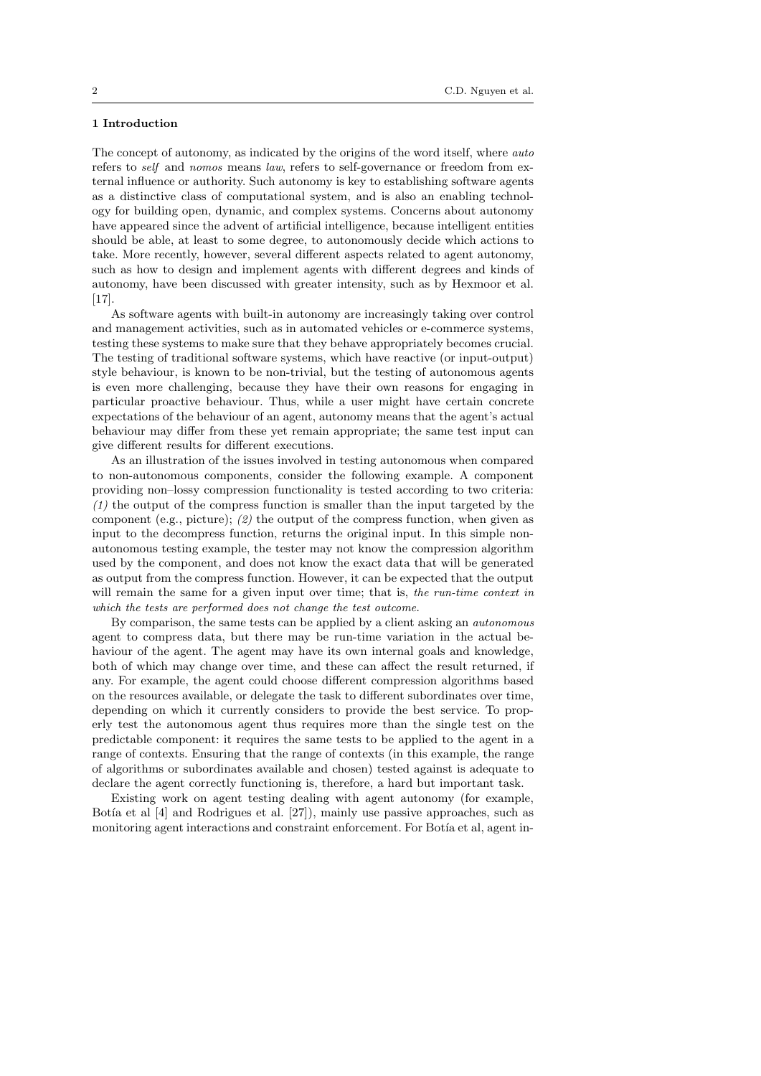# 1 Introduction

The concept of autonomy, as indicated by the origins of the word itself, where *auto* refers to self and nomos means law, refers to self-governance or freedom from external influence or authority. Such autonomy is key to establishing software agents as a distinctive class of computational system, and is also an enabling technology for building open, dynamic, and complex systems. Concerns about autonomy have appeared since the advent of artificial intelligence, because intelligent entities should be able, at least to some degree, to autonomously decide which actions to take. More recently, however, several different aspects related to agent autonomy, such as how to design and implement agents with different degrees and kinds of autonomy, have been discussed with greater intensity, such as by Hexmoor et al. [17].

As software agents with built-in autonomy are increasingly taking over control and management activities, such as in automated vehicles or e-commerce systems, testing these systems to make sure that they behave appropriately becomes crucial. The testing of traditional software systems, which have reactive (or input-output) style behaviour, is known to be non-trivial, but the testing of autonomous agents is even more challenging, because they have their own reasons for engaging in particular proactive behaviour. Thus, while a user might have certain concrete expectations of the behaviour of an agent, autonomy means that the agent's actual behaviour may differ from these yet remain appropriate; the same test input can give different results for different executions.

As an illustration of the issues involved in testing autonomous when compared to non-autonomous components, consider the following example. A component providing non–lossy compression functionality is tested according to two criteria: (1) the output of the compress function is smaller than the input targeted by the component (e.g., picture); (2) the output of the compress function, when given as input to the decompress function, returns the original input. In this simple nonautonomous testing example, the tester may not know the compression algorithm used by the component, and does not know the exact data that will be generated as output from the compress function. However, it can be expected that the output will remain the same for a given input over time; that is, the run-time context in which the tests are performed does not change the test outcome.

By comparison, the same tests can be applied by a client asking an autonomous agent to compress data, but there may be run-time variation in the actual behaviour of the agent. The agent may have its own internal goals and knowledge, both of which may change over time, and these can affect the result returned, if any. For example, the agent could choose different compression algorithms based on the resources available, or delegate the task to different subordinates over time, depending on which it currently considers to provide the best service. To properly test the autonomous agent thus requires more than the single test on the predictable component: it requires the same tests to be applied to the agent in a range of contexts. Ensuring that the range of contexts (in this example, the range of algorithms or subordinates available and chosen) tested against is adequate to declare the agent correctly functioning is, therefore, a hard but important task.

Existing work on agent testing dealing with agent autonomy (for example, Botía et al [4] and Rodrigues et al. [27]), mainly use passive approaches, such as monitoring agent interactions and constraint enforcement. For Botia et al, agent in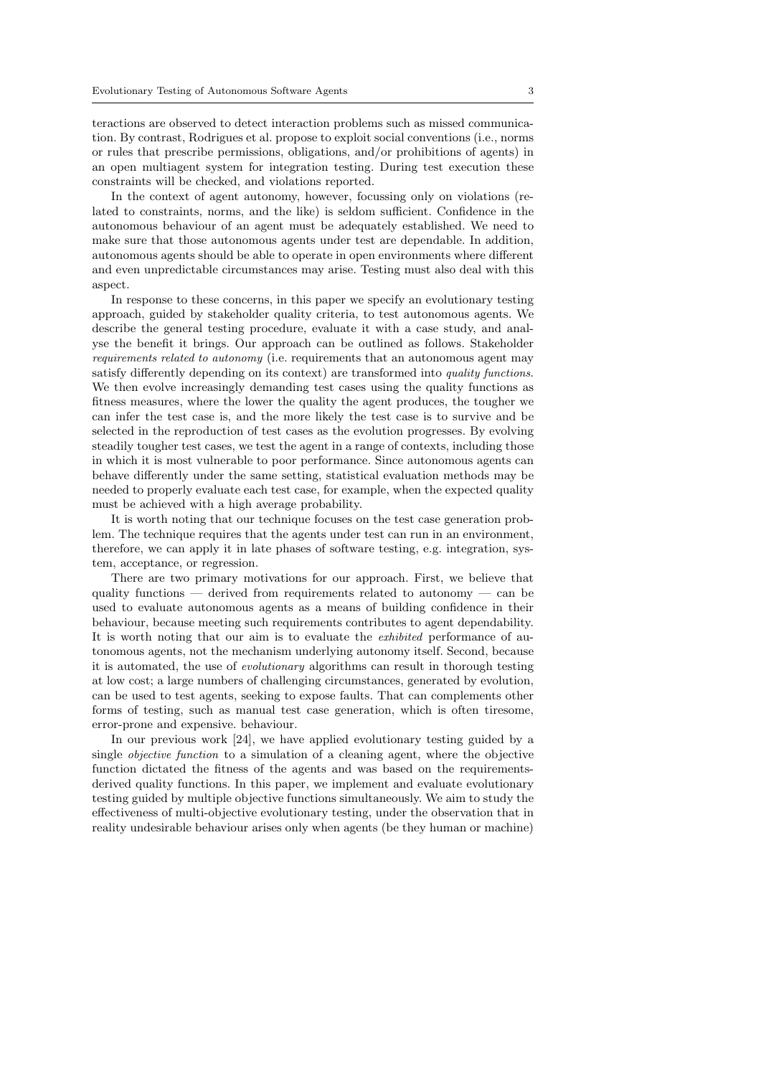teractions are observed to detect interaction problems such as missed communication. By contrast, Rodrigues et al. propose to exploit social conventions (i.e., norms or rules that prescribe permissions, obligations, and/or prohibitions of agents) in an open multiagent system for integration testing. During test execution these constraints will be checked, and violations reported.

In the context of agent autonomy, however, focussing only on violations (related to constraints, norms, and the like) is seldom sufficient. Confidence in the autonomous behaviour of an agent must be adequately established. We need to make sure that those autonomous agents under test are dependable. In addition, autonomous agents should be able to operate in open environments where different and even unpredictable circumstances may arise. Testing must also deal with this aspect.

In response to these concerns, in this paper we specify an evolutionary testing approach, guided by stakeholder quality criteria, to test autonomous agents. We describe the general testing procedure, evaluate it with a case study, and analyse the benefit it brings. Our approach can be outlined as follows. Stakeholder requirements related to autonomy (i.e. requirements that an autonomous agent may satisfy differently depending on its context) are transformed into quality functions. We then evolve increasingly demanding test cases using the quality functions as fitness measures, where the lower the quality the agent produces, the tougher we can infer the test case is, and the more likely the test case is to survive and be selected in the reproduction of test cases as the evolution progresses. By evolving steadily tougher test cases, we test the agent in a range of contexts, including those in which it is most vulnerable to poor performance. Since autonomous agents can behave differently under the same setting, statistical evaluation methods may be needed to properly evaluate each test case, for example, when the expected quality must be achieved with a high average probability.

It is worth noting that our technique focuses on the test case generation problem. The technique requires that the agents under test can run in an environment, therefore, we can apply it in late phases of software testing, e.g. integration, system, acceptance, or regression.

There are two primary motivations for our approach. First, we believe that quality functions — derived from requirements related to autonomy — can be used to evaluate autonomous agents as a means of building confidence in their behaviour, because meeting such requirements contributes to agent dependability. It is worth noting that our aim is to evaluate the *exhibited* performance of autonomous agents, not the mechanism underlying autonomy itself. Second, because it is automated, the use of evolutionary algorithms can result in thorough testing at low cost; a large numbers of challenging circumstances, generated by evolution, can be used to test agents, seeking to expose faults. That can complements other forms of testing, such as manual test case generation, which is often tiresome, error-prone and expensive. behaviour.

In our previous work [24], we have applied evolutionary testing guided by a single objective function to a simulation of a cleaning agent, where the objective function dictated the fitness of the agents and was based on the requirementsderived quality functions. In this paper, we implement and evaluate evolutionary testing guided by multiple objective functions simultaneously. We aim to study the effectiveness of multi-objective evolutionary testing, under the observation that in reality undesirable behaviour arises only when agents (be they human or machine)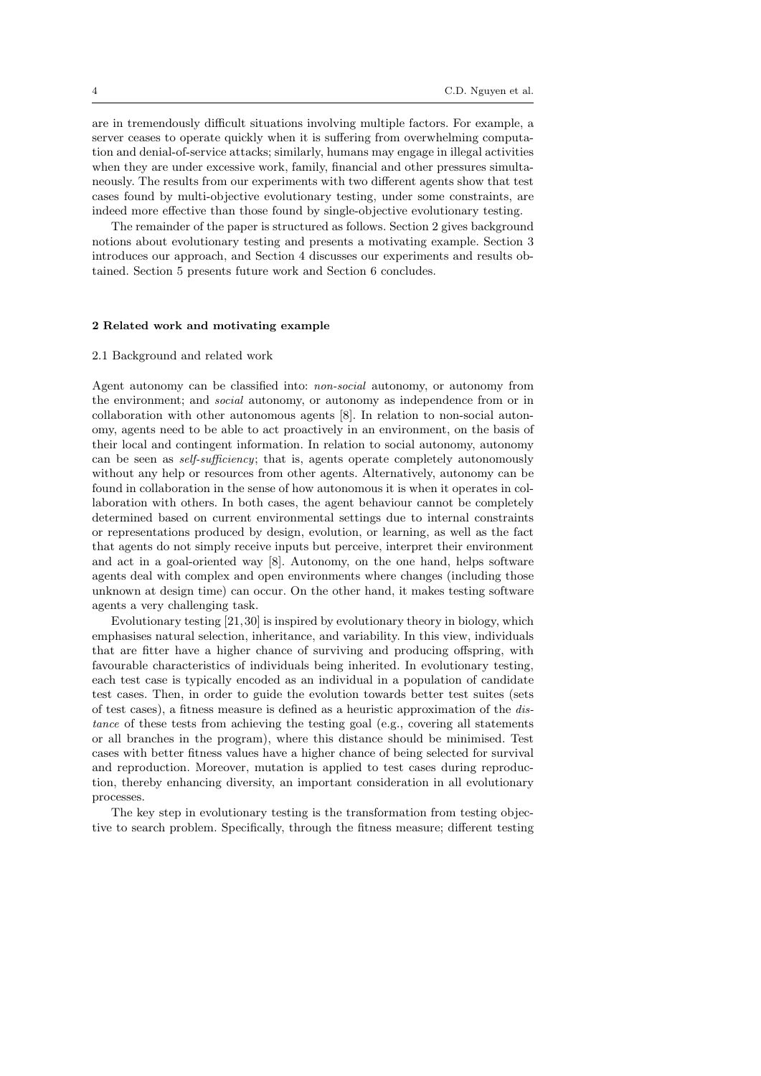are in tremendously difficult situations involving multiple factors. For example, a server ceases to operate quickly when it is suffering from overwhelming computation and denial-of-service attacks; similarly, humans may engage in illegal activities when they are under excessive work, family, financial and other pressures simultaneously. The results from our experiments with two different agents show that test cases found by multi-objective evolutionary testing, under some constraints, are indeed more effective than those found by single-objective evolutionary testing.

The remainder of the paper is structured as follows. Section 2 gives background notions about evolutionary testing and presents a motivating example. Section 3 introduces our approach, and Section 4 discusses our experiments and results obtained. Section 5 presents future work and Section 6 concludes.

#### 2 Related work and motivating example

# 2.1 Background and related work

Agent autonomy can be classified into: non-social autonomy, or autonomy from the environment; and social autonomy, or autonomy as independence from or in collaboration with other autonomous agents [8]. In relation to non-social autonomy, agents need to be able to act proactively in an environment, on the basis of their local and contingent information. In relation to social autonomy, autonomy can be seen as *self-sufficiency*; that is, agents operate completely autonomously without any help or resources from other agents. Alternatively, autonomy can be found in collaboration in the sense of how autonomous it is when it operates in collaboration with others. In both cases, the agent behaviour cannot be completely determined based on current environmental settings due to internal constraints or representations produced by design, evolution, or learning, as well as the fact that agents do not simply receive inputs but perceive, interpret their environment and act in a goal-oriented way [8]. Autonomy, on the one hand, helps software agents deal with complex and open environments where changes (including those unknown at design time) can occur. On the other hand, it makes testing software agents a very challenging task.

Evolutionary testing [21, 30] is inspired by evolutionary theory in biology, which emphasises natural selection, inheritance, and variability. In this view, individuals that are fitter have a higher chance of surviving and producing offspring, with favourable characteristics of individuals being inherited. In evolutionary testing, each test case is typically encoded as an individual in a population of candidate test cases. Then, in order to guide the evolution towards better test suites (sets of test cases), a fitness measure is defined as a heuristic approximation of the distance of these tests from achieving the testing goal (e.g., covering all statements or all branches in the program), where this distance should be minimised. Test cases with better fitness values have a higher chance of being selected for survival and reproduction. Moreover, mutation is applied to test cases during reproduction, thereby enhancing diversity, an important consideration in all evolutionary processes.

The key step in evolutionary testing is the transformation from testing objective to search problem. Specifically, through the fitness measure; different testing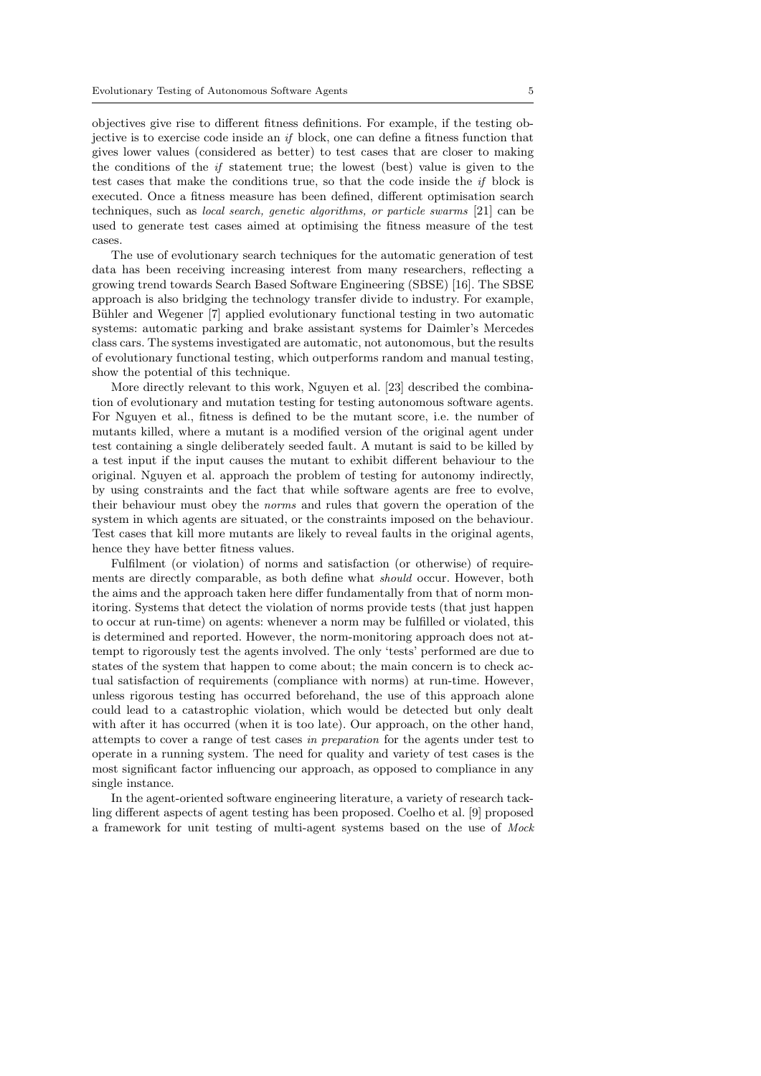objectives give rise to different fitness definitions. For example, if the testing objective is to exercise code inside an  $if$  block, one can define a fitness function that gives lower values (considered as better) to test cases that are closer to making the conditions of the if statement true; the lowest (best) value is given to the test cases that make the conditions true, so that the code inside the if block is executed. Once a fitness measure has been defined, different optimisation search techniques, such as local search, genetic algorithms, or particle swarms [21] can be used to generate test cases aimed at optimising the fitness measure of the test cases.

The use of evolutionary search techniques for the automatic generation of test data has been receiving increasing interest from many researchers, reflecting a growing trend towards Search Based Software Engineering (SBSE) [16]. The SBSE approach is also bridging the technology transfer divide to industry. For example, Bühler and Wegener [7] applied evolutionary functional testing in two automatic systems: automatic parking and brake assistant systems for Daimler's Mercedes class cars. The systems investigated are automatic, not autonomous, but the results of evolutionary functional testing, which outperforms random and manual testing, show the potential of this technique.

More directly relevant to this work, Nguyen et al. [23] described the combination of evolutionary and mutation testing for testing autonomous software agents. For Nguyen et al., fitness is defined to be the mutant score, i.e. the number of mutants killed, where a mutant is a modified version of the original agent under test containing a single deliberately seeded fault. A mutant is said to be killed by a test input if the input causes the mutant to exhibit different behaviour to the original. Nguyen et al. approach the problem of testing for autonomy indirectly, by using constraints and the fact that while software agents are free to evolve, their behaviour must obey the norms and rules that govern the operation of the system in which agents are situated, or the constraints imposed on the behaviour. Test cases that kill more mutants are likely to reveal faults in the original agents, hence they have better fitness values.

Fulfilment (or violation) of norms and satisfaction (or otherwise) of requirements are directly comparable, as both define what should occur. However, both the aims and the approach taken here differ fundamentally from that of norm monitoring. Systems that detect the violation of norms provide tests (that just happen to occur at run-time) on agents: whenever a norm may be fulfilled or violated, this is determined and reported. However, the norm-monitoring approach does not attempt to rigorously test the agents involved. The only 'tests' performed are due to states of the system that happen to come about; the main concern is to check actual satisfaction of requirements (compliance with norms) at run-time. However, unless rigorous testing has occurred beforehand, the use of this approach alone could lead to a catastrophic violation, which would be detected but only dealt with after it has occurred (when it is too late). Our approach, on the other hand, attempts to cover a range of test cases in preparation for the agents under test to operate in a running system. The need for quality and variety of test cases is the most significant factor influencing our approach, as opposed to compliance in any single instance.

In the agent-oriented software engineering literature, a variety of research tackling different aspects of agent testing has been proposed. Coelho et al. [9] proposed a framework for unit testing of multi-agent systems based on the use of Mock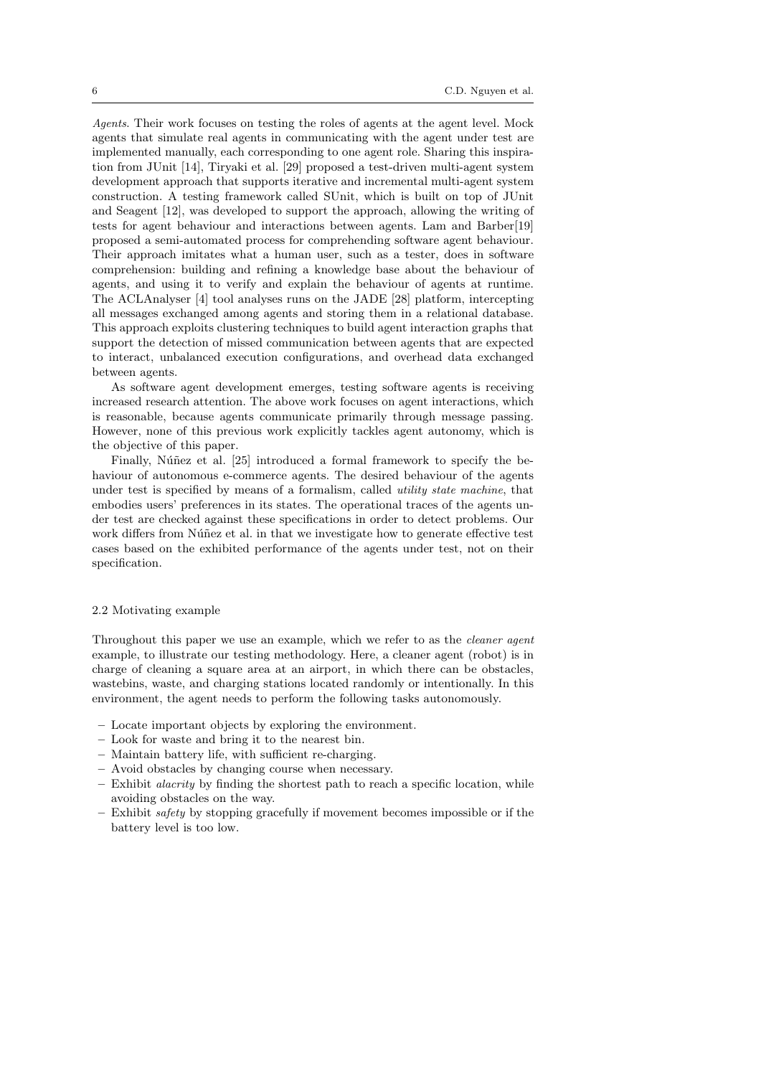Agents. Their work focuses on testing the roles of agents at the agent level. Mock agents that simulate real agents in communicating with the agent under test are implemented manually, each corresponding to one agent role. Sharing this inspiration from JUnit [14], Tiryaki et al. [29] proposed a test-driven multi-agent system development approach that supports iterative and incremental multi-agent system construction. A testing framework called SUnit, which is built on top of JUnit and Seagent [12], was developed to support the approach, allowing the writing of tests for agent behaviour and interactions between agents. Lam and Barber[19] proposed a semi-automated process for comprehending software agent behaviour. Their approach imitates what a human user, such as a tester, does in software comprehension: building and refining a knowledge base about the behaviour of agents, and using it to verify and explain the behaviour of agents at runtime. The ACLAnalyser [4] tool analyses runs on the JADE [28] platform, intercepting all messages exchanged among agents and storing them in a relational database. This approach exploits clustering techniques to build agent interaction graphs that support the detection of missed communication between agents that are expected to interact, unbalanced execution configurations, and overhead data exchanged between agents.

As software agent development emerges, testing software agents is receiving increased research attention. The above work focuses on agent interactions, which is reasonable, because agents communicate primarily through message passing. However, none of this previous work explicitly tackles agent autonomy, which is the objective of this paper.

Finally, Núñez et al. [25] introduced a formal framework to specify the behaviour of autonomous e-commerce agents. The desired behaviour of the agents under test is specified by means of a formalism, called utility state machine, that embodies users' preferences in its states. The operational traces of the agents under test are checked against these specifications in order to detect problems. Our work differs from Núñez et al. in that we investigate how to generate effective test cases based on the exhibited performance of the agents under test, not on their specification.

# 2.2 Motivating example

Throughout this paper we use an example, which we refer to as the cleaner agent example, to illustrate our testing methodology. Here, a cleaner agent (robot) is in charge of cleaning a square area at an airport, in which there can be obstacles, wastebins, waste, and charging stations located randomly or intentionally. In this environment, the agent needs to perform the following tasks autonomously.

- Locate important objects by exploring the environment.
- Look for waste and bring it to the nearest bin.
- Maintain battery life, with sufficient re-charging.
- Avoid obstacles by changing course when necessary.
- $-$  Exhibit *alacrity* by finding the shortest path to reach a specific location, while avoiding obstacles on the way.
- Exhibit safety by stopping gracefully if movement becomes impossible or if the battery level is too low.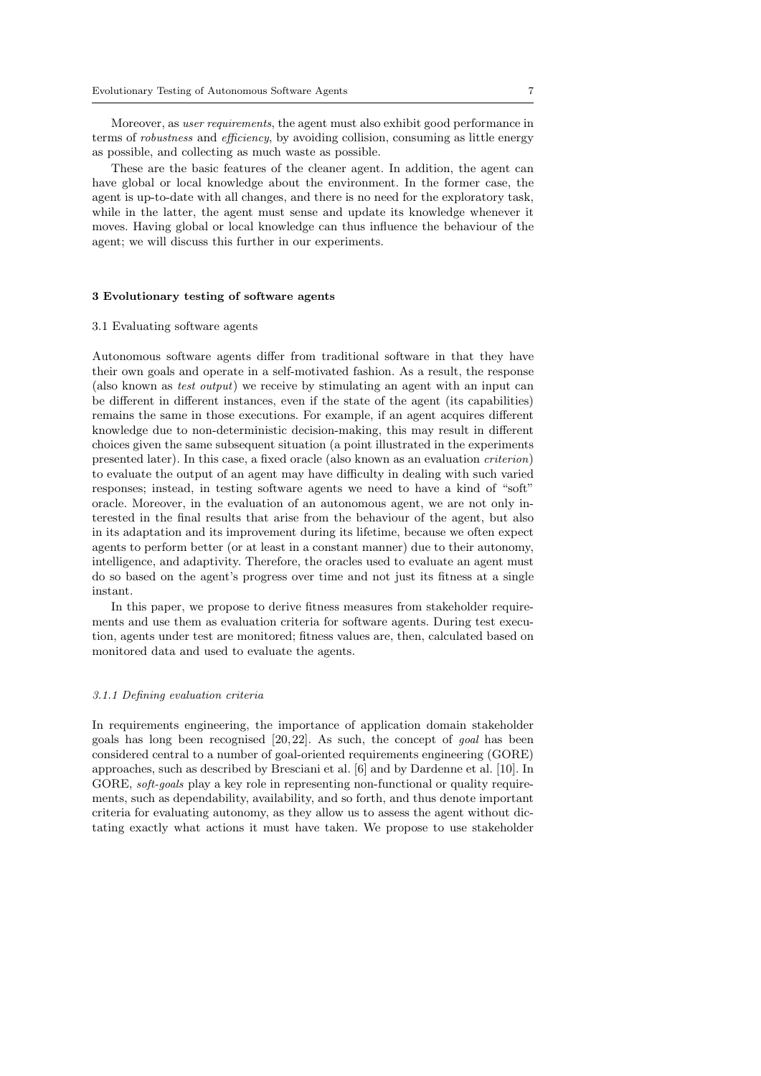Moreover, as user requirements, the agent must also exhibit good performance in terms of robustness and efficiency, by avoiding collision, consuming as little energy as possible, and collecting as much waste as possible.

These are the basic features of the cleaner agent. In addition, the agent can have global or local knowledge about the environment. In the former case, the agent is up-to-date with all changes, and there is no need for the exploratory task, while in the latter, the agent must sense and update its knowledge whenever it moves. Having global or local knowledge can thus influence the behaviour of the agent; we will discuss this further in our experiments.

### 3 Evolutionary testing of software agents

# 3.1 Evaluating software agents

Autonomous software agents differ from traditional software in that they have their own goals and operate in a self-motivated fashion. As a result, the response (also known as test output) we receive by stimulating an agent with an input can be different in different instances, even if the state of the agent (its capabilities) remains the same in those executions. For example, if an agent acquires different knowledge due to non-deterministic decision-making, this may result in different choices given the same subsequent situation (a point illustrated in the experiments presented later). In this case, a fixed oracle (also known as an evaluation criterion) to evaluate the output of an agent may have difficulty in dealing with such varied responses; instead, in testing software agents we need to have a kind of "soft" oracle. Moreover, in the evaluation of an autonomous agent, we are not only interested in the final results that arise from the behaviour of the agent, but also in its adaptation and its improvement during its lifetime, because we often expect agents to perform better (or at least in a constant manner) due to their autonomy, intelligence, and adaptivity. Therefore, the oracles used to evaluate an agent must do so based on the agent's progress over time and not just its fitness at a single instant.

In this paper, we propose to derive fitness measures from stakeholder requirements and use them as evaluation criteria for software agents. During test execution, agents under test are monitored; fitness values are, then, calculated based on monitored data and used to evaluate the agents.

### 3.1.1 Defining evaluation criteria

In requirements engineering, the importance of application domain stakeholder goals has long been recognised [20, 22]. As such, the concept of goal has been considered central to a number of goal-oriented requirements engineering (GORE) approaches, such as described by Bresciani et al. [6] and by Dardenne et al. [10]. In GORE, *soft-goals* play a key role in representing non-functional or quality requirements, such as dependability, availability, and so forth, and thus denote important criteria for evaluating autonomy, as they allow us to assess the agent without dictating exactly what actions it must have taken. We propose to use stakeholder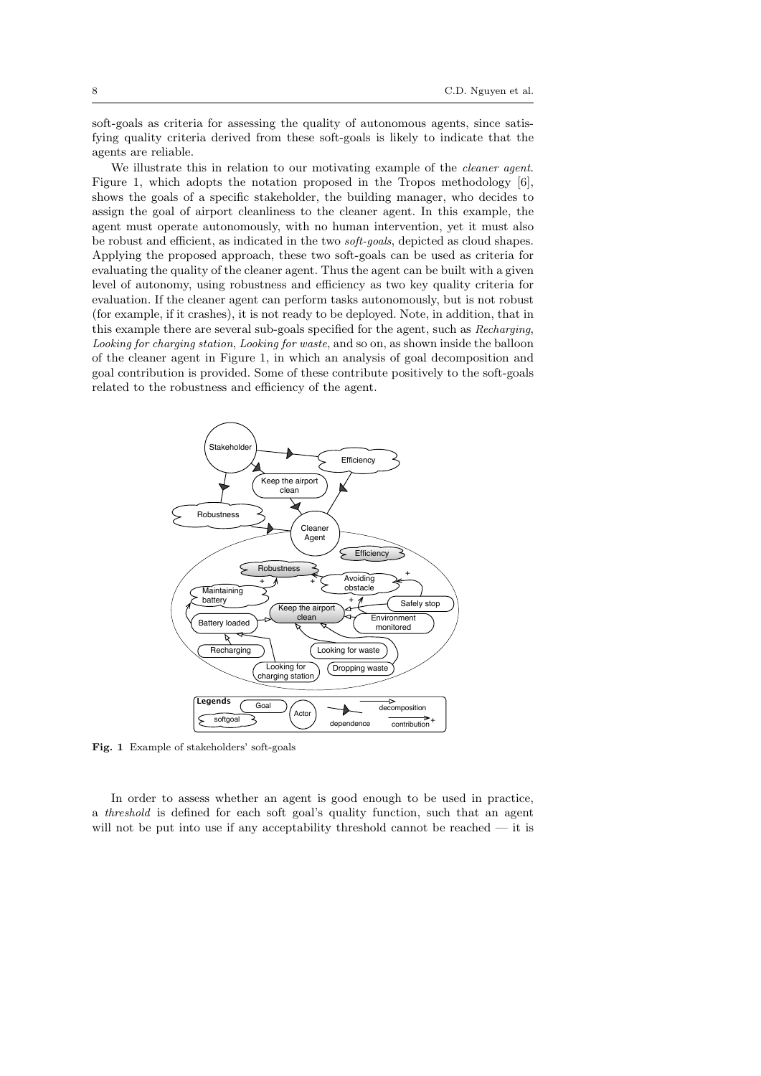soft-goals as criteria for assessing the quality of autonomous agents, since satisfying quality criteria derived from these soft-goals is likely to indicate that the agents are reliable.

We illustrate this in relation to our motivating example of the *cleaner agent*. Figure 1, which adopts the notation proposed in the Tropos methodology [6], shows the goals of a specific stakeholder, the building manager, who decides to assign the goal of airport cleanliness to the cleaner agent. In this example, the agent must operate autonomously, with no human intervention, yet it must also be robust and efficient, as indicated in the two soft-goals, depicted as cloud shapes. Applying the proposed approach, these two soft-goals can be used as criteria for evaluating the quality of the cleaner agent. Thus the agent can be built with a given level of autonomy, using robustness and efficiency as two key quality criteria for evaluation. If the cleaner agent can perform tasks autonomously, but is not robust (for example, if it crashes), it is not ready to be deployed. Note, in addition, that in this example there are several sub-goals specified for the agent, such as Recharging, Looking for charging station, Looking for waste, and so on, as shown inside the balloon of the cleaner agent in Figure 1, in which an analysis of goal decomposition and goal contribution is provided. Some of these contribute positively to the soft-goals related to the robustness and efficiency of the agent.



Fig. 1 Example of stakeholders' soft-goals

In order to assess whether an agent is good enough to be used in practice, a threshold is defined for each soft goal's quality function, such that an agent will not be put into use if any acceptability threshold cannot be reached — it is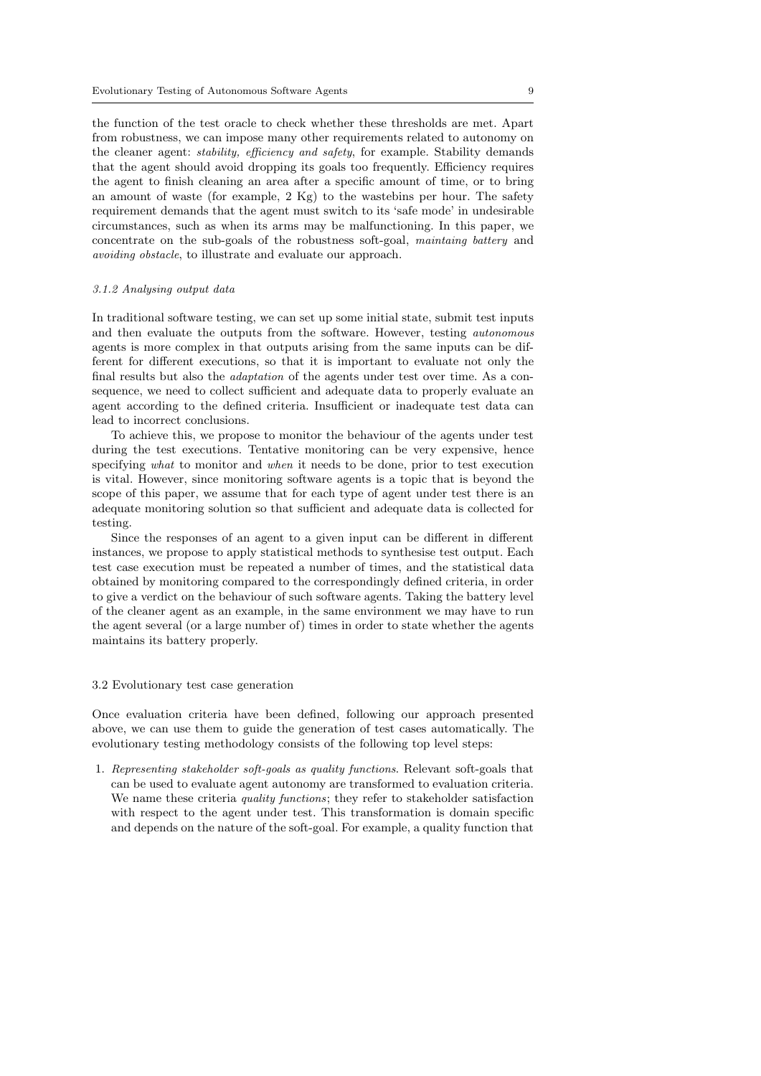the function of the test oracle to check whether these thresholds are met. Apart from robustness, we can impose many other requirements related to autonomy on the cleaner agent: stability, efficiency and safety, for example. Stability demands that the agent should avoid dropping its goals too frequently. Efficiency requires the agent to finish cleaning an area after a specific amount of time, or to bring an amount of waste (for example, 2 Kg) to the wastebins per hour. The safety requirement demands that the agent must switch to its 'safe mode' in undesirable circumstances, such as when its arms may be malfunctioning. In this paper, we concentrate on the sub-goals of the robustness soft-goal, maintaing battery and avoiding obstacle, to illustrate and evaluate our approach.

### 3.1.2 Analysing output data

In traditional software testing, we can set up some initial state, submit test inputs and then evaluate the outputs from the software. However, testing autonomous agents is more complex in that outputs arising from the same inputs can be different for different executions, so that it is important to evaluate not only the final results but also the adaptation of the agents under test over time. As a consequence, we need to collect sufficient and adequate data to properly evaluate an agent according to the defined criteria. Insufficient or inadequate test data can lead to incorrect conclusions.

To achieve this, we propose to monitor the behaviour of the agents under test during the test executions. Tentative monitoring can be very expensive, hence specifying what to monitor and when it needs to be done, prior to test execution is vital. However, since monitoring software agents is a topic that is beyond the scope of this paper, we assume that for each type of agent under test there is an adequate monitoring solution so that sufficient and adequate data is collected for testing.

Since the responses of an agent to a given input can be different in different instances, we propose to apply statistical methods to synthesise test output. Each test case execution must be repeated a number of times, and the statistical data obtained by monitoring compared to the correspondingly defined criteria, in order to give a verdict on the behaviour of such software agents. Taking the battery level of the cleaner agent as an example, in the same environment we may have to run the agent several (or a large number of) times in order to state whether the agents maintains its battery properly.

### 3.2 Evolutionary test case generation

Once evaluation criteria have been defined, following our approach presented above, we can use them to guide the generation of test cases automatically. The evolutionary testing methodology consists of the following top level steps:

1. Representing stakeholder soft-goals as quality functions. Relevant soft-goals that can be used to evaluate agent autonomy are transformed to evaluation criteria. We name these criteria *quality functions*; they refer to stakeholder satisfaction with respect to the agent under test. This transformation is domain specific and depends on the nature of the soft-goal. For example, a quality function that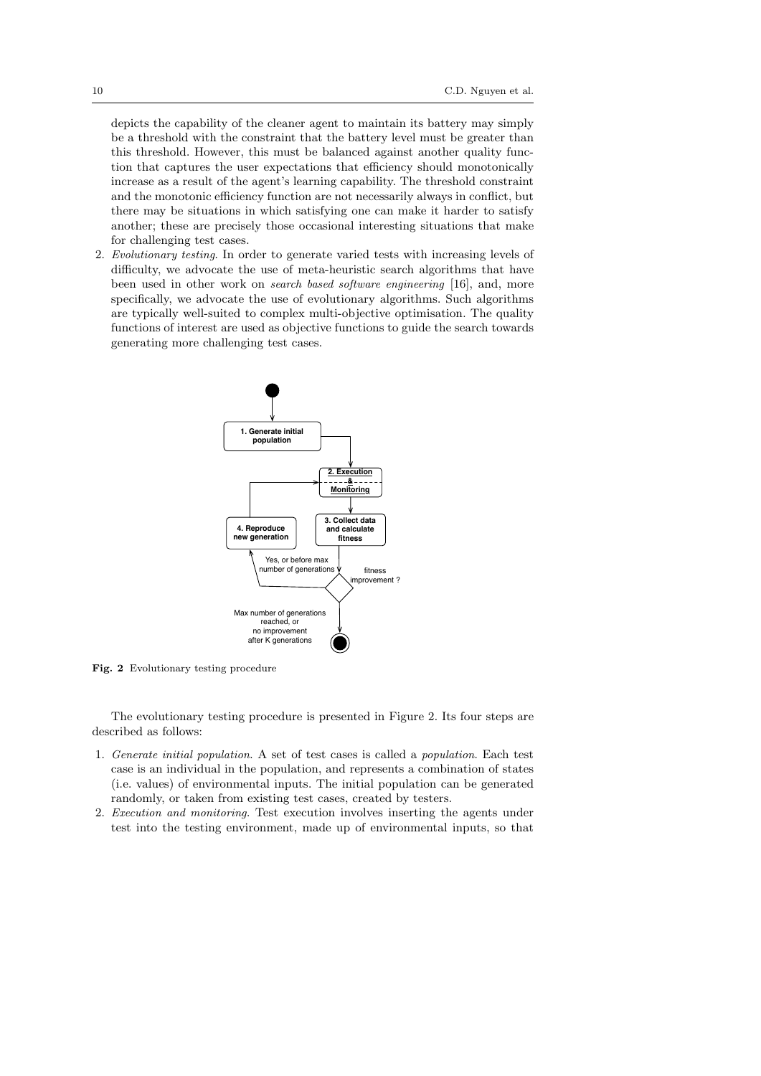depicts the capability of the cleaner agent to maintain its battery may simply be a threshold with the constraint that the battery level must be greater than this threshold. However, this must be balanced against another quality function that captures the user expectations that efficiency should monotonically increase as a result of the agent's learning capability. The threshold constraint and the monotonic efficiency function are not necessarily always in conflict, but there may be situations in which satisfying one can make it harder to satisfy another; these are precisely those occasional interesting situations that make for challenging test cases.

2. Evolutionary testing. In order to generate varied tests with increasing levels of difficulty, we advocate the use of meta-heuristic search algorithms that have been used in other work on search based software engineering [16], and, more specifically, we advocate the use of evolutionary algorithms. Such algorithms are typically well-suited to complex multi-objective optimisation. The quality functions of interest are used as objective functions to guide the search towards generating more challenging test cases.



Fig. 2 Evolutionary testing procedure

The evolutionary testing procedure is presented in Figure 2. Its four steps are described as follows:

- 1. Generate initial population. A set of test cases is called a population. Each test case is an individual in the population, and represents a combination of states (i.e. values) of environmental inputs. The initial population can be generated randomly, or taken from existing test cases, created by testers.
- 2. Execution and monitoring. Test execution involves inserting the agents under test into the testing environment, made up of environmental inputs, so that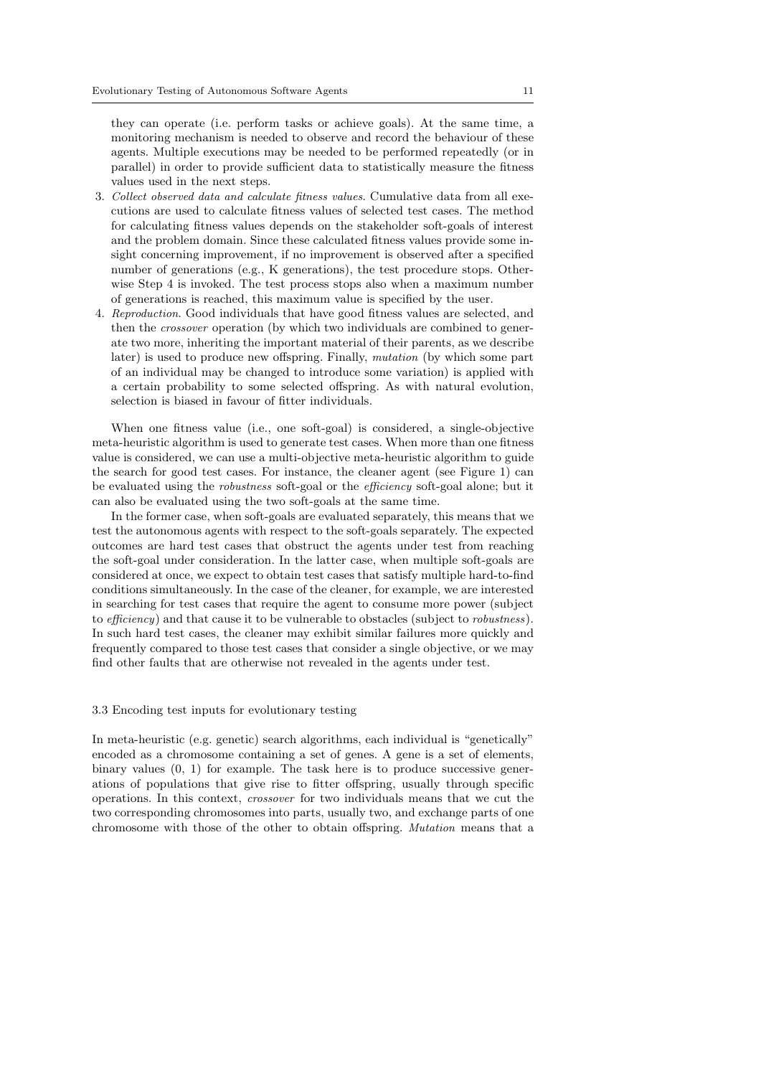they can operate (i.e. perform tasks or achieve goals). At the same time, a monitoring mechanism is needed to observe and record the behaviour of these agents. Multiple executions may be needed to be performed repeatedly (or in parallel) in order to provide sufficient data to statistically measure the fitness values used in the next steps.

- 3. Collect observed data and calculate fitness values. Cumulative data from all executions are used to calculate fitness values of selected test cases. The method for calculating fitness values depends on the stakeholder soft-goals of interest and the problem domain. Since these calculated fitness values provide some insight concerning improvement, if no improvement is observed after a specified number of generations (e.g., K generations), the test procedure stops. Otherwise Step 4 is invoked. The test process stops also when a maximum number of generations is reached, this maximum value is specified by the user.
- 4. Reproduction. Good individuals that have good fitness values are selected, and then the crossover operation (by which two individuals are combined to generate two more, inheriting the important material of their parents, as we describe later) is used to produce new offspring. Finally, mutation (by which some part of an individual may be changed to introduce some variation) is applied with a certain probability to some selected offspring. As with natural evolution, selection is biased in favour of fitter individuals.

When one fitness value (i.e., one soft-goal) is considered, a single-objective meta-heuristic algorithm is used to generate test cases. When more than one fitness value is considered, we can use a multi-objective meta-heuristic algorithm to guide the search for good test cases. For instance, the cleaner agent (see Figure 1) can be evaluated using the robustness soft-goal or the efficiency soft-goal alone; but it can also be evaluated using the two soft-goals at the same time.

In the former case, when soft-goals are evaluated separately, this means that we test the autonomous agents with respect to the soft-goals separately. The expected outcomes are hard test cases that obstruct the agents under test from reaching the soft-goal under consideration. In the latter case, when multiple soft-goals are considered at once, we expect to obtain test cases that satisfy multiple hard-to-find conditions simultaneously. In the case of the cleaner, for example, we are interested in searching for test cases that require the agent to consume more power (subject to efficiency) and that cause it to be vulnerable to obstacles (subject to robustness). In such hard test cases, the cleaner may exhibit similar failures more quickly and frequently compared to those test cases that consider a single objective, or we may find other faults that are otherwise not revealed in the agents under test.

## 3.3 Encoding test inputs for evolutionary testing

In meta-heuristic (e.g. genetic) search algorithms, each individual is "genetically" encoded as a chromosome containing a set of genes. A gene is a set of elements, binary values (0, 1) for example. The task here is to produce successive generations of populations that give rise to fitter offspring, usually through specific operations. In this context, crossover for two individuals means that we cut the two corresponding chromosomes into parts, usually two, and exchange parts of one chromosome with those of the other to obtain offspring. Mutation means that a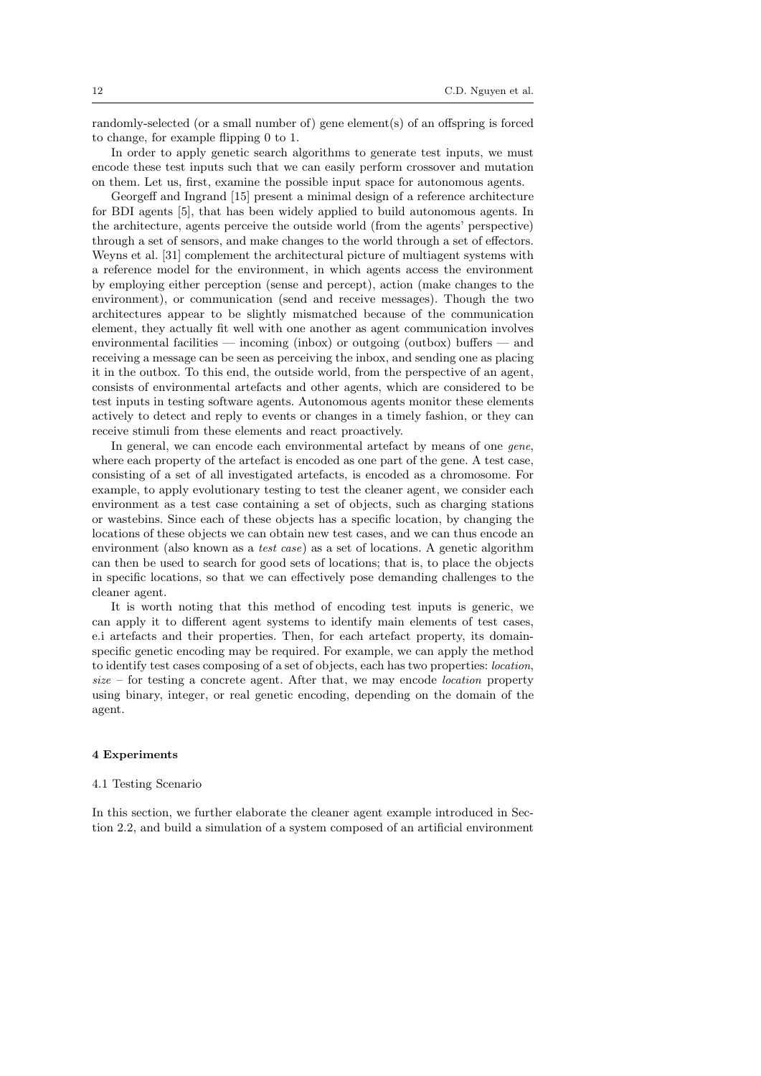randomly-selected (or a small number of) gene element(s) of an offspring is forced to change, for example flipping 0 to 1.

In order to apply genetic search algorithms to generate test inputs, we must encode these test inputs such that we can easily perform crossover and mutation on them. Let us, first, examine the possible input space for autonomous agents.

Georgeff and Ingrand [15] present a minimal design of a reference architecture for BDI agents [5], that has been widely applied to build autonomous agents. In the architecture, agents perceive the outside world (from the agents' perspective) through a set of sensors, and make changes to the world through a set of effectors. Weyns et al. [31] complement the architectural picture of multiagent systems with a reference model for the environment, in which agents access the environment by employing either perception (sense and percept), action (make changes to the environment), or communication (send and receive messages). Though the two architectures appear to be slightly mismatched because of the communication element, they actually fit well with one another as agent communication involves environmental facilities — incoming (inbox) or outgoing (outbox) buffers — and receiving a message can be seen as perceiving the inbox, and sending one as placing it in the outbox. To this end, the outside world, from the perspective of an agent, consists of environmental artefacts and other agents, which are considered to be test inputs in testing software agents. Autonomous agents monitor these elements actively to detect and reply to events or changes in a timely fashion, or they can receive stimuli from these elements and react proactively.

In general, we can encode each environmental artefact by means of one *gene*, where each property of the artefact is encoded as one part of the gene. A test case, consisting of a set of all investigated artefacts, is encoded as a chromosome. For example, to apply evolutionary testing to test the cleaner agent, we consider each environment as a test case containing a set of objects, such as charging stations or wastebins. Since each of these objects has a specific location, by changing the locations of these objects we can obtain new test cases, and we can thus encode an environment (also known as a test case) as a set of locations. A genetic algorithm can then be used to search for good sets of locations; that is, to place the objects in specific locations, so that we can effectively pose demanding challenges to the cleaner agent.

It is worth noting that this method of encoding test inputs is generic, we can apply it to different agent systems to identify main elements of test cases, e.i artefacts and their properties. Then, for each artefact property, its domainspecific genetic encoding may be required. For example, we can apply the method to identify test cases composing of a set of objects, each has two properties: location,  $size$  – for testing a concrete agent. After that, we may encode *location* property using binary, integer, or real genetic encoding, depending on the domain of the agent.

#### 4 Experiments

#### 4.1 Testing Scenario

In this section, we further elaborate the cleaner agent example introduced in Section 2.2, and build a simulation of a system composed of an artificial environment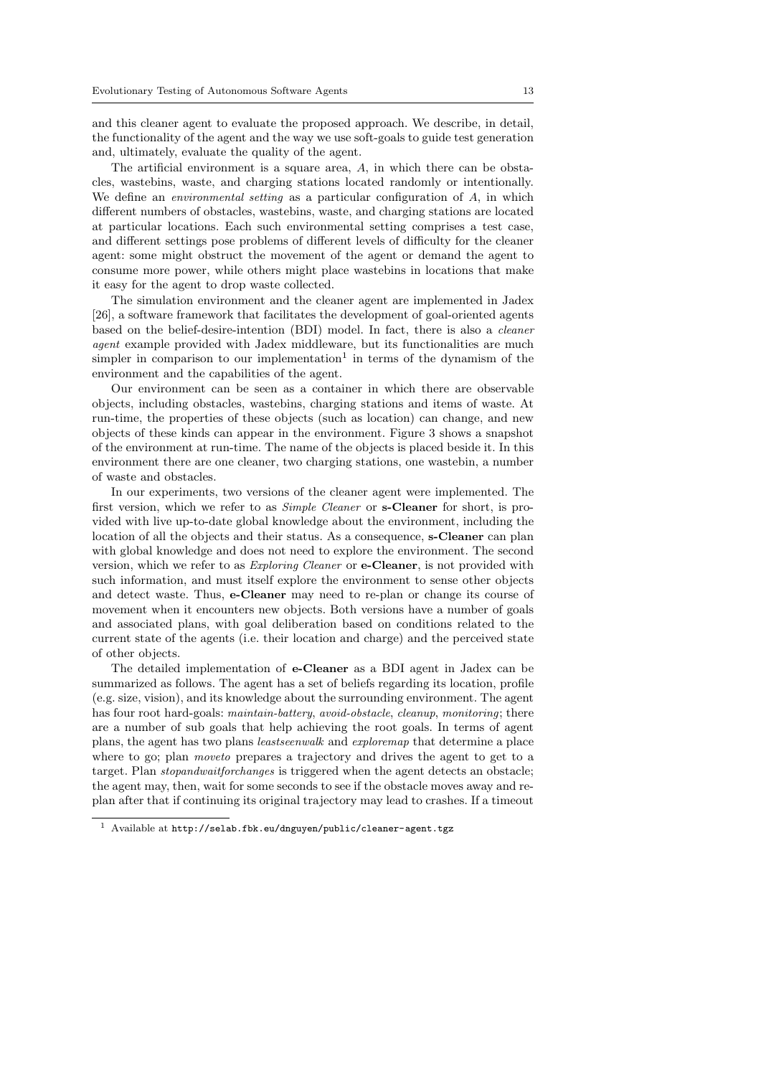and this cleaner agent to evaluate the proposed approach. We describe, in detail, the functionality of the agent and the way we use soft-goals to guide test generation and, ultimately, evaluate the quality of the agent.

The artificial environment is a square area, A, in which there can be obstacles, wastebins, waste, and charging stations located randomly or intentionally. We define an *environmental setting* as a particular configuration of  $A$ , in which different numbers of obstacles, wastebins, waste, and charging stations are located at particular locations. Each such environmental setting comprises a test case, and different settings pose problems of different levels of difficulty for the cleaner agent: some might obstruct the movement of the agent or demand the agent to consume more power, while others might place wastebins in locations that make it easy for the agent to drop waste collected.

The simulation environment and the cleaner agent are implemented in Jadex [26], a software framework that facilitates the development of goal-oriented agents based on the belief-desire-intention (BDI) model. In fact, there is also a cleaner agent example provided with Jadex middleware, but its functionalities are much simpler in comparison to our implementation<sup>1</sup> in terms of the dynamism of the environment and the capabilities of the agent.

Our environment can be seen as a container in which there are observable objects, including obstacles, wastebins, charging stations and items of waste. At run-time, the properties of these objects (such as location) can change, and new objects of these kinds can appear in the environment. Figure 3 shows a snapshot of the environment at run-time. The name of the objects is placed beside it. In this environment there are one cleaner, two charging stations, one wastebin, a number of waste and obstacles.

In our experiments, two versions of the cleaner agent were implemented. The first version, which we refer to as Simple Cleaner or s-Cleaner for short, is provided with live up-to-date global knowledge about the environment, including the location of all the objects and their status. As a consequence, s-Cleaner can plan with global knowledge and does not need to explore the environment. The second version, which we refer to as Exploring Cleaner or e-Cleaner, is not provided with such information, and must itself explore the environment to sense other objects and detect waste. Thus, e-Cleaner may need to re-plan or change its course of movement when it encounters new objects. Both versions have a number of goals and associated plans, with goal deliberation based on conditions related to the current state of the agents (i.e. their location and charge) and the perceived state of other objects.

The detailed implementation of e-Cleaner as a BDI agent in Jadex can be summarized as follows. The agent has a set of beliefs regarding its location, profile (e.g. size, vision), and its knowledge about the surrounding environment. The agent has four root hard-goals: maintain-battery, avoid-obstacle, cleanup, monitoring; there are a number of sub goals that help achieving the root goals. In terms of agent plans, the agent has two plans leastseenwalk and exploremap that determine a place where to go; plan *moveto* prepares a trajectory and drives the agent to get to a target. Plan stopandwaitforchanges is triggered when the agent detects an obstacle; the agent may, then, wait for some seconds to see if the obstacle moves away and replan after that if continuing its original trajectory may lead to crashes. If a timeout

 $^1\,$  Available at http://selab.fbk.eu/dnguyen/public/cleaner-agent.tgz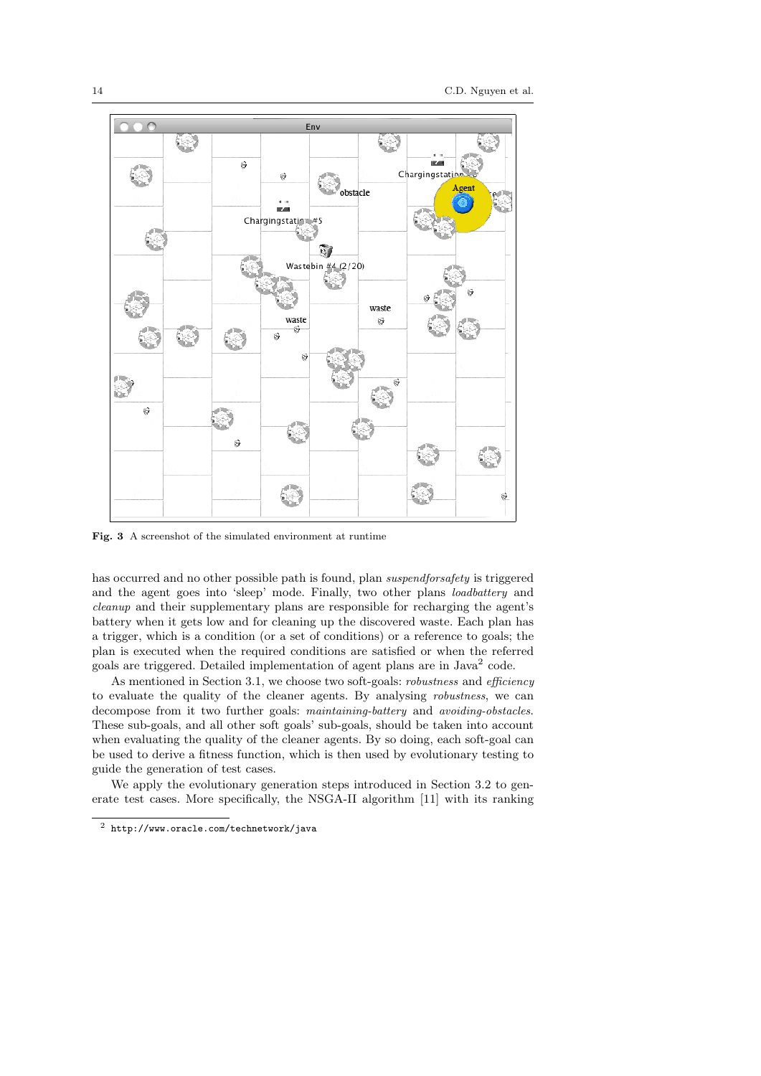

Fig. 3 A screenshot of the simulated environment at runtime

has occurred and no other possible path is found, plan suspendforsafety is triggered and the agent goes into 'sleep' mode. Finally, two other plans loadbattery and cleanup and their supplementary plans are responsible for recharging the agent's battery when it gets low and for cleaning up the discovered waste. Each plan has a trigger, which is a condition (or a set of conditions) or a reference to goals; the plan is executed when the required conditions are satisfied or when the referred goals are triggered. Detailed implementation of agent plans are in Java<sup>2</sup> code.

As mentioned in Section 3.1, we choose two soft-goals: *robustness* and *efficiency* to evaluate the quality of the cleaner agents. By analysing robustness, we can decompose from it two further goals: maintaining-battery and avoiding-obstacles. These sub-goals, and all other soft goals' sub-goals, should be taken into account when evaluating the quality of the cleaner agents. By so doing, each soft-goal can be used to derive a fitness function, which is then used by evolutionary testing to guide the generation of test cases.

We apply the evolutionary generation steps introduced in Section 3.2 to generate test cases. More specifically, the NSGA-II algorithm [11] with its ranking

<sup>2</sup> http://www.oracle.com/technetwork/java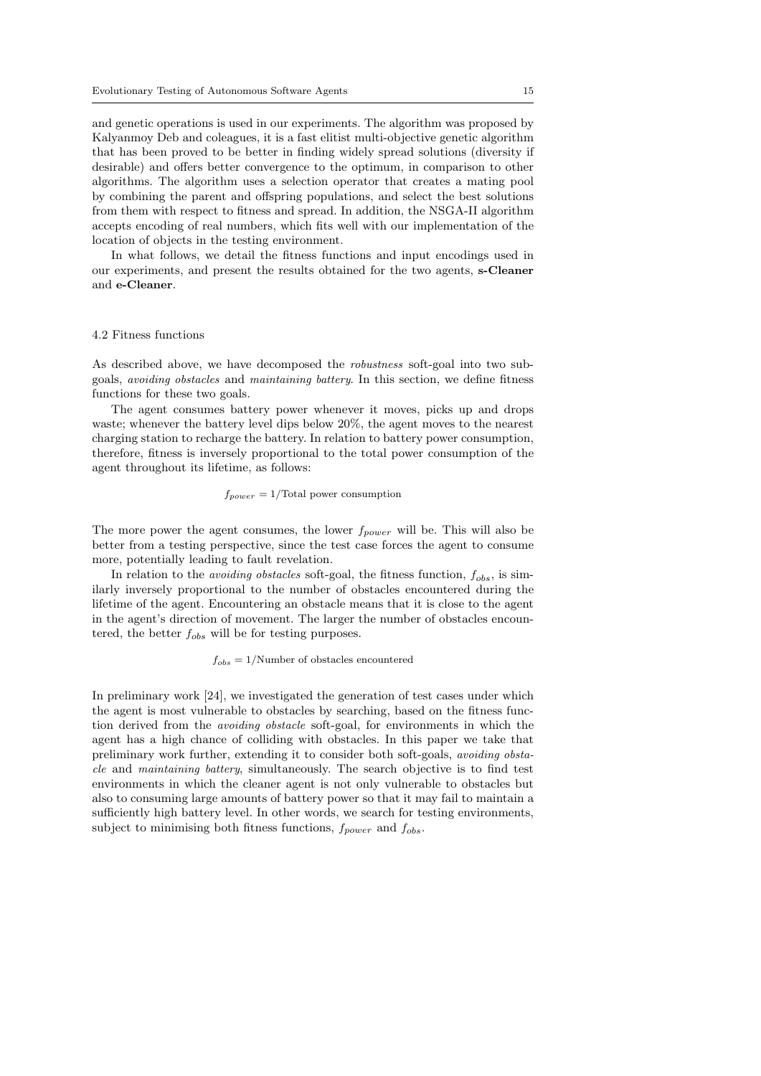and genetic operations is used in our experiments. The algorithm was proposed by Kalyanmoy Deb and coleagues, it is a fast elitist multi-objective genetic algorithm that has been proved to be better in finding widely spread solutions (diversity if desirable) and offers better convergence to the optimum, in comparison to other algorithms. The algorithm uses a selection operator that creates a mating pool by combining the parent and offspring populations, and select the best solutions from them with respect to fitness and spread. In addition, the NSGA-II algorithm accepts encoding of real numbers, which fits well with our implementation of the location of objects in the testing environment.

In what follows, we detail the fitness functions and input encodings used in our experiments, and present the results obtained for the two agents, s-Cleaner and e-Cleaner.

#### 4.2 Fitness functions

As described above, we have decomposed the robustness soft-goal into two subgoals, avoiding obstacles and maintaining battery. In this section, we define fitness functions for these two goals.

The agent consumes battery power whenever it moves, picks up and drops waste; whenever the battery level dips below 20%, the agent moves to the nearest charging station to recharge the battery. In relation to battery power consumption, therefore, fitness is inversely proportional to the total power consumption of the agent throughout its lifetime, as follows:

### $f_{power} = 1/T$ otal power consumption

The more power the agent consumes, the lower  $f_{power}$  will be. This will also be better from a testing perspective, since the test case forces the agent to consume more, potentially leading to fault revelation.

In relation to the *avoiding obstacles* soft-goal, the fitness function,  $f_{obs}$ , is similarly inversely proportional to the number of obstacles encountered during the lifetime of the agent. Encountering an obstacle means that it is close to the agent in the agent's direction of movement. The larger the number of obstacles encountered, the better  $f_{obs}$  will be for testing purposes.

### $f_{obs} = 1/N$ umber of obstacles encountered

In preliminary work [24], we investigated the generation of test cases under which the agent is most vulnerable to obstacles by searching, based on the fitness function derived from the avoiding obstacle soft-goal, for environments in which the agent has a high chance of colliding with obstacles. In this paper we take that preliminary work further, extending it to consider both soft-goals, avoiding obstacle and maintaining battery, simultaneously. The search objective is to find test environments in which the cleaner agent is not only vulnerable to obstacles but also to consuming large amounts of battery power so that it may fail to maintain a sufficiently high battery level. In other words, we search for testing environments, subject to minimising both fitness functions,  $f_{power}$  and  $f_{obs}$ .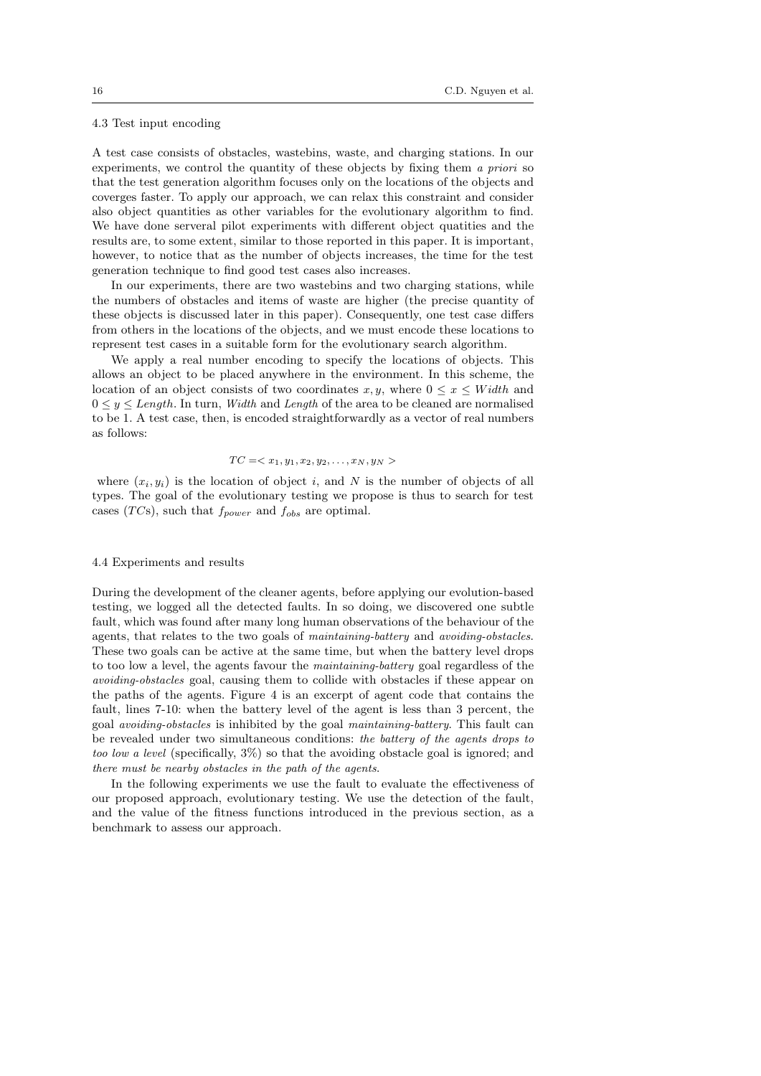### 4.3 Test input encoding

A test case consists of obstacles, wastebins, waste, and charging stations. In our experiments, we control the quantity of these objects by fixing them a priori so that the test generation algorithm focuses only on the locations of the objects and coverges faster. To apply our approach, we can relax this constraint and consider also object quantities as other variables for the evolutionary algorithm to find. We have done serveral pilot experiments with different object quatities and the results are, to some extent, similar to those reported in this paper. It is important, however, to notice that as the number of objects increases, the time for the test generation technique to find good test cases also increases.

In our experiments, there are two wastebins and two charging stations, while the numbers of obstacles and items of waste are higher (the precise quantity of these objects is discussed later in this paper). Consequently, one test case differs from others in the locations of the objects, and we must encode these locations to represent test cases in a suitable form for the evolutionary search algorithm.

We apply a real number encoding to specify the locations of objects. This allows an object to be placed anywhere in the environment. In this scheme, the location of an object consists of two coordinates  $x, y$ , where  $0 \le x \le Width$  and  $0 \leq y \leq Length$ . In turn, *Width* and *Length* of the area to be cleaned are normalised to be 1. A test case, then, is encoded straightforwardly as a vector of real numbers as follows:

$$
TC=
$$

where  $(x_i, y_i)$  is the location of object i, and N is the number of objects of all types. The goal of the evolutionary testing we propose is thus to search for test cases (TCs), such that  $f_{power}$  and  $f_{obs}$  are optimal.

#### 4.4 Experiments and results

During the development of the cleaner agents, before applying our evolution-based testing, we logged all the detected faults. In so doing, we discovered one subtle fault, which was found after many long human observations of the behaviour of the agents, that relates to the two goals of maintaining-battery and avoiding-obstacles. These two goals can be active at the same time, but when the battery level drops to too low a level, the agents favour the maintaining-battery goal regardless of the avoiding-obstacles goal, causing them to collide with obstacles if these appear on the paths of the agents. Figure 4 is an excerpt of agent code that contains the fault, lines 7-10: when the battery level of the agent is less than 3 percent, the goal avoiding-obstacles is inhibited by the goal maintaining-battery. This fault can be revealed under two simultaneous conditions: the battery of the agents drops to too low a level (specifically, 3%) so that the avoiding obstacle goal is ignored; and there must be nearby obstacles in the path of the agents.

In the following experiments we use the fault to evaluate the effectiveness of our proposed approach, evolutionary testing. We use the detection of the fault, and the value of the fitness functions introduced in the previous section, as a benchmark to assess our approach.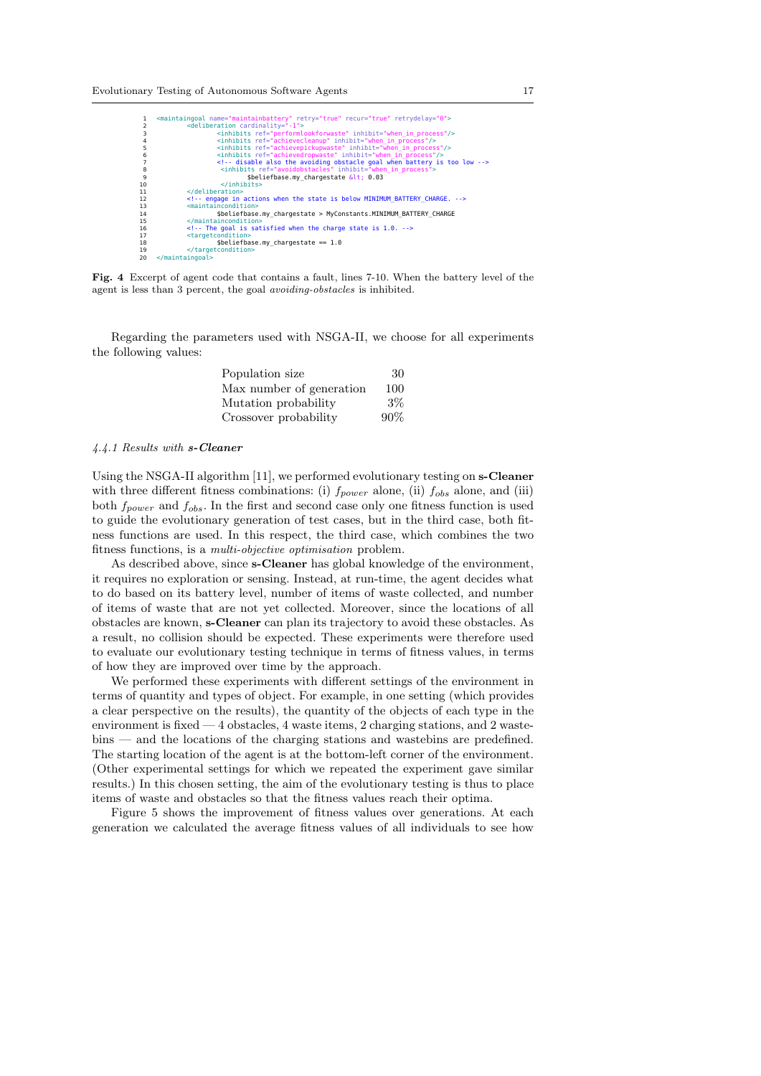| 1  | <maintaingoal name="maintainbattery" recur="true" retry="true" retrydelay="0"></maintaingoal> |
|----|-----------------------------------------------------------------------------------------------|
|    | <deliberation cardinality="-1"></deliberation>                                                |
|    | <inhibits inhibit="when in process" ref="performlookforwaste"></inhibits>                     |
|    | <inhibits inhibit="when in process" ref="achievecleanup"></inhibits>                          |
| 5  | <inhibits inhibit="when in process" ref="achievepickupwaste"></inhibits>                      |
| 6  | <inhibits inhibit="when in process" ref="achievedropwaste"></inhibits>                        |
|    | disable also the avoiding obstacle goal when battery is too low                               |
| 8  | <inhibits inhibit="when in process" ref="avoidobstacles"></inhibits>                          |
| 9  | \$beliefbase.my chargestate < 0.03                                                            |
| 10 |                                                                                               |
| 11 |                                                                                               |
| 12 | engage in actions when the state is below MINIMUM BATTERY CHARGE.                             |
| 13 | $mintaincondition>$                                                                           |
| 14 | \$beliefbase.my chargestate > MyConstants.MINIMUM BATTERY CHARGE                              |
| 15 |                                                                                               |
| 16 | $\leq$ !-- The goal is satisfied when the charge state is 1.0. -->                            |
| 17 | <targetcondition></targetcondition>                                                           |
| 18 | \$beliefbase.my chargestate == $1.0$                                                          |
| 19 |                                                                                               |
| 20 |                                                                                               |

Fig. 4 Excerpt of agent code that contains a fault, lines 7-10. When the battery level of the agent is less than 3 percent, the goal avoiding-obstacles is inhibited.

Regarding the parameters used with NSGA-II, we choose for all experiments the following values:

| Population size          | 30    |
|--------------------------|-------|
| Max number of generation | 100   |
| Mutation probability     | $3\%$ |
| Crossover probability    | 90%   |

#### 4.4.1 Results with s-Cleaner

Using the NSGA-II algorithm [11], we performed evolutionary testing on s-Cleaner with three different fitness combinations: (i)  $f_{power}$  alone, (ii)  $f_{obs}$  alone, and (iii) both  $f_{power}$  and  $f_{obs}$ . In the first and second case only one fitness function is used to guide the evolutionary generation of test cases, but in the third case, both fitness functions are used. In this respect, the third case, which combines the two fitness functions, is a multi-objective optimisation problem.

As described above, since s-Cleaner has global knowledge of the environment, it requires no exploration or sensing. Instead, at run-time, the agent decides what to do based on its battery level, number of items of waste collected, and number of items of waste that are not yet collected. Moreover, since the locations of all obstacles are known, s-Cleaner can plan its trajectory to avoid these obstacles. As a result, no collision should be expected. These experiments were therefore used to evaluate our evolutionary testing technique in terms of fitness values, in terms of how they are improved over time by the approach.

We performed these experiments with different settings of the environment in terms of quantity and types of object. For example, in one setting (which provides a clear perspective on the results), the quantity of the objects of each type in the environment is fixed — 4 obstacles, 4 waste items, 2 charging stations, and 2 wastebins — and the locations of the charging stations and wastebins are predefined. The starting location of the agent is at the bottom-left corner of the environment. (Other experimental settings for which we repeated the experiment gave similar results.) In this chosen setting, the aim of the evolutionary testing is thus to place items of waste and obstacles so that the fitness values reach their optima.

Figure 5 shows the improvement of fitness values over generations. At each generation we calculated the average fitness values of all individuals to see how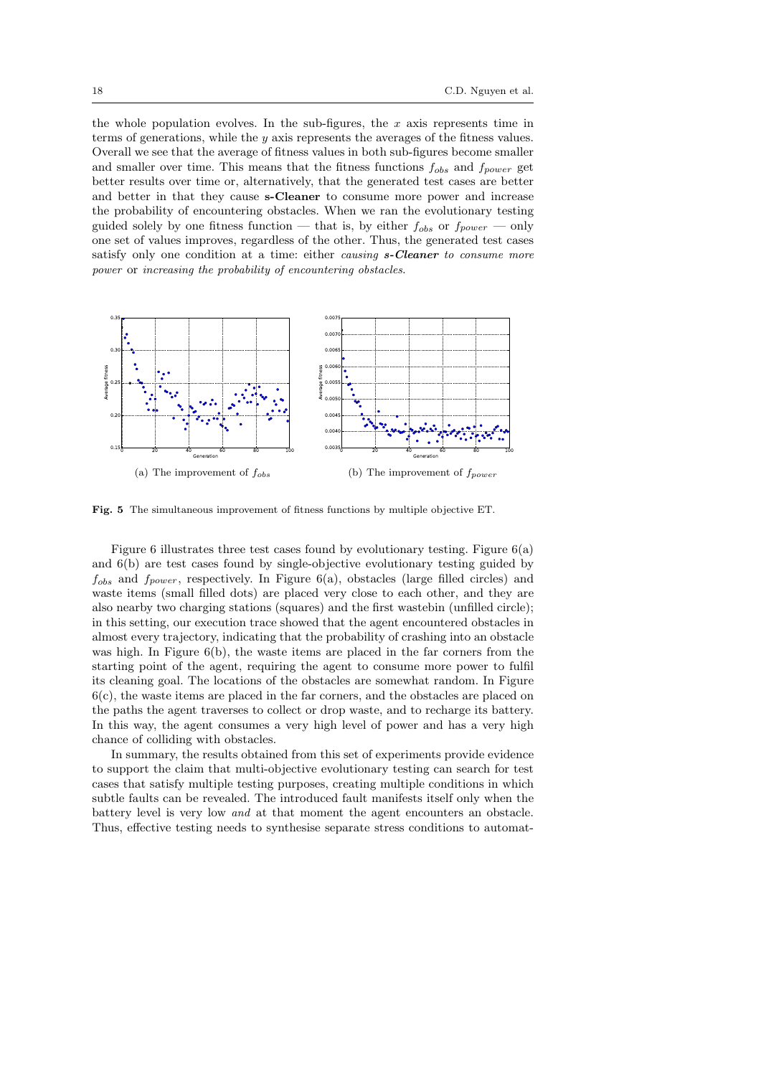the whole population evolves. In the sub-figures, the  $x$  axis represents time in terms of generations, while the y axis represents the averages of the fitness values. Overall we see that the average of fitness values in both sub-figures become smaller and smaller over time. This means that the fitness functions  $f_{obs}$  and  $f_{power}$  get better results over time or, alternatively, that the generated test cases are better and better in that they cause s-Cleaner to consume more power and increase the probability of encountering obstacles. When we ran the evolutionary testing guided solely by one fitness function — that is, by either  $f_{obs}$  or  $f_{power}$  — only one set of values improves, regardless of the other. Thus, the generated test cases satisfy only one condition at a time: either *causing s-Cleaner to consume more* power or increasing the probability of encountering obstacles.



Fig. 5 The simultaneous improvement of fitness functions by multiple objective ET.

Figure 6 illustrates three test cases found by evolutionary testing. Figure 6(a) and 6(b) are test cases found by single-objective evolutionary testing guided by  $f_{obs}$  and  $f_{power}$ , respectively. In Figure 6(a), obstacles (large filled circles) and waste items (small filled dots) are placed very close to each other, and they are also nearby two charging stations (squares) and the first wastebin (unfilled circle); in this setting, our execution trace showed that the agent encountered obstacles in almost every trajectory, indicating that the probability of crashing into an obstacle was high. In Figure 6(b), the waste items are placed in the far corners from the starting point of the agent, requiring the agent to consume more power to fulfil its cleaning goal. The locations of the obstacles are somewhat random. In Figure 6(c), the waste items are placed in the far corners, and the obstacles are placed on the paths the agent traverses to collect or drop waste, and to recharge its battery. In this way, the agent consumes a very high level of power and has a very high chance of colliding with obstacles.

In summary, the results obtained from this set of experiments provide evidence to support the claim that multi-objective evolutionary testing can search for test cases that satisfy multiple testing purposes, creating multiple conditions in which subtle faults can be revealed. The introduced fault manifests itself only when the battery level is very low and at that moment the agent encounters an obstacle. Thus, effective testing needs to synthesise separate stress conditions to automat-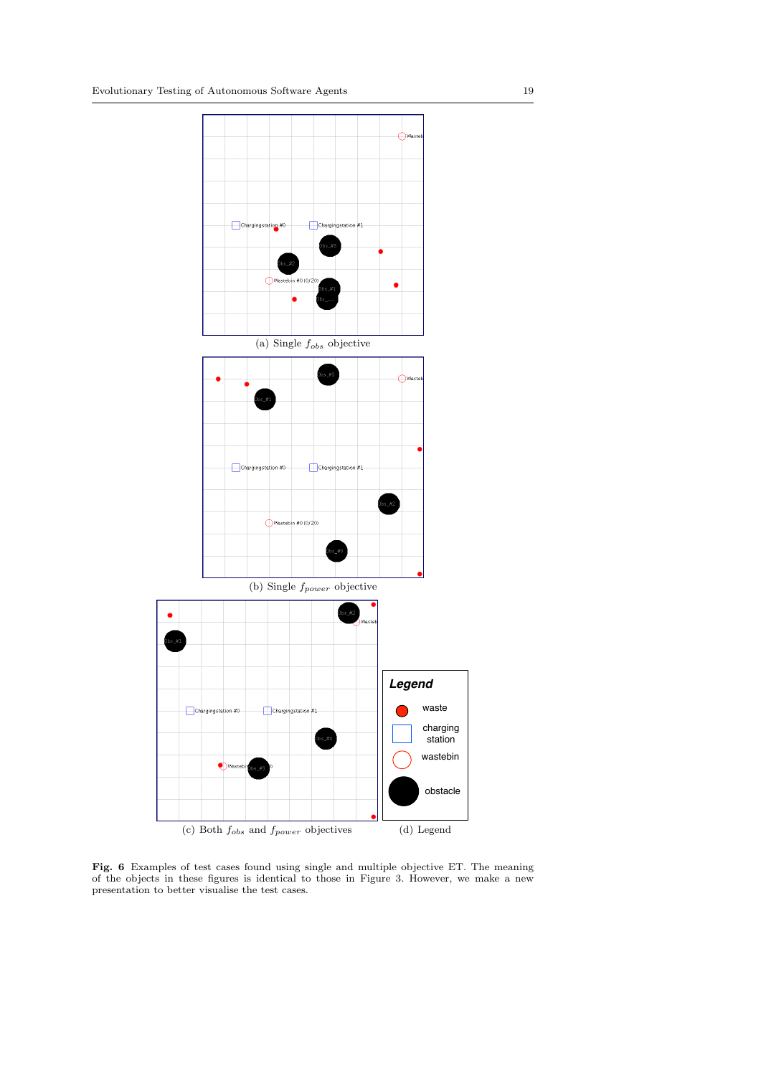

Fig. 6 Examples of test cases found using single and multiple objective ET. The meaning of the objects in these figures is identical to those in Figure 3. However, we make a new presentation to better visualise the test cases.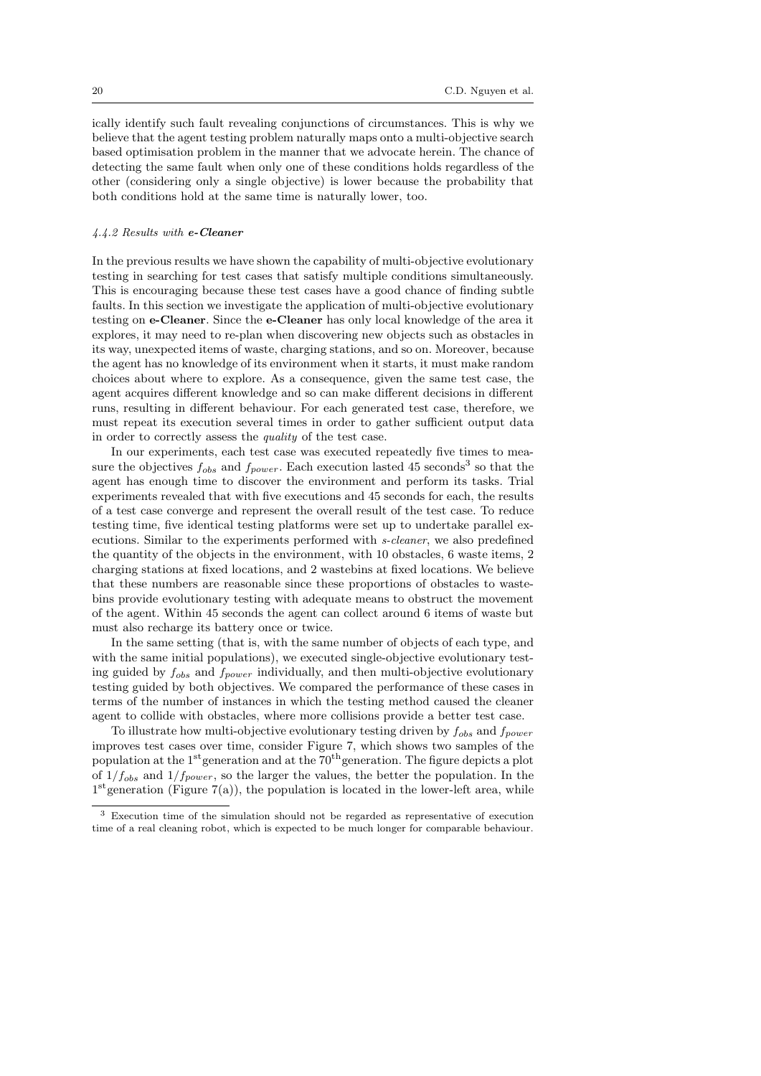ically identify such fault revealing conjunctions of circumstances. This is why we believe that the agent testing problem naturally maps onto a multi-objective search based optimisation problem in the manner that we advocate herein. The chance of detecting the same fault when only one of these conditions holds regardless of the other (considering only a single objective) is lower because the probability that both conditions hold at the same time is naturally lower, too.

#### 4.4.2 Results with e-Cleaner

In the previous results we have shown the capability of multi-objective evolutionary testing in searching for test cases that satisfy multiple conditions simultaneously. This is encouraging because these test cases have a good chance of finding subtle faults. In this section we investigate the application of multi-objective evolutionary testing on e-Cleaner. Since the e-Cleaner has only local knowledge of the area it explores, it may need to re-plan when discovering new objects such as obstacles in its way, unexpected items of waste, charging stations, and so on. Moreover, because the agent has no knowledge of its environment when it starts, it must make random choices about where to explore. As a consequence, given the same test case, the agent acquires different knowledge and so can make different decisions in different runs, resulting in different behaviour. For each generated test case, therefore, we must repeat its execution several times in order to gather sufficient output data in order to correctly assess the quality of the test case.

In our experiments, each test case was executed repeatedly five times to measure the objectives  $f_{obs}$  and  $f_{power}$ . Each execution lasted 45 seconds<sup>3</sup> so that the agent has enough time to discover the environment and perform its tasks. Trial experiments revealed that with five executions and 45 seconds for each, the results of a test case converge and represent the overall result of the test case. To reduce testing time, five identical testing platforms were set up to undertake parallel executions. Similar to the experiments performed with s-cleaner, we also predefined the quantity of the objects in the environment, with 10 obstacles, 6 waste items, 2 charging stations at fixed locations, and 2 wastebins at fixed locations. We believe that these numbers are reasonable since these proportions of obstacles to wastebins provide evolutionary testing with adequate means to obstruct the movement of the agent. Within 45 seconds the agent can collect around 6 items of waste but must also recharge its battery once or twice.

In the same setting (that is, with the same number of objects of each type, and with the same initial populations), we executed single-objective evolutionary testing guided by  $f_{obs}$  and  $f_{power}$  individually, and then multi-objective evolutionary testing guided by both objectives. We compared the performance of these cases in terms of the number of instances in which the testing method caused the cleaner agent to collide with obstacles, where more collisions provide a better test case.

To illustrate how multi-objective evolutionary testing driven by  $f_{obs}$  and  $f_{power}$ improves test cases over time, consider Figure 7, which shows two samples of the population at the  $1^{st}$ generation and at the  $70^{th}$ generation. The figure depicts a plot of  $1/f_{obs}$  and  $1/f_{power}$ , so the larger the values, the better the population. In the  $1<sup>st</sup>$  generation (Figure 7(a)), the population is located in the lower-left area, while

<sup>3</sup> Execution time of the simulation should not be regarded as representative of execution time of a real cleaning robot, which is expected to be much longer for comparable behaviour.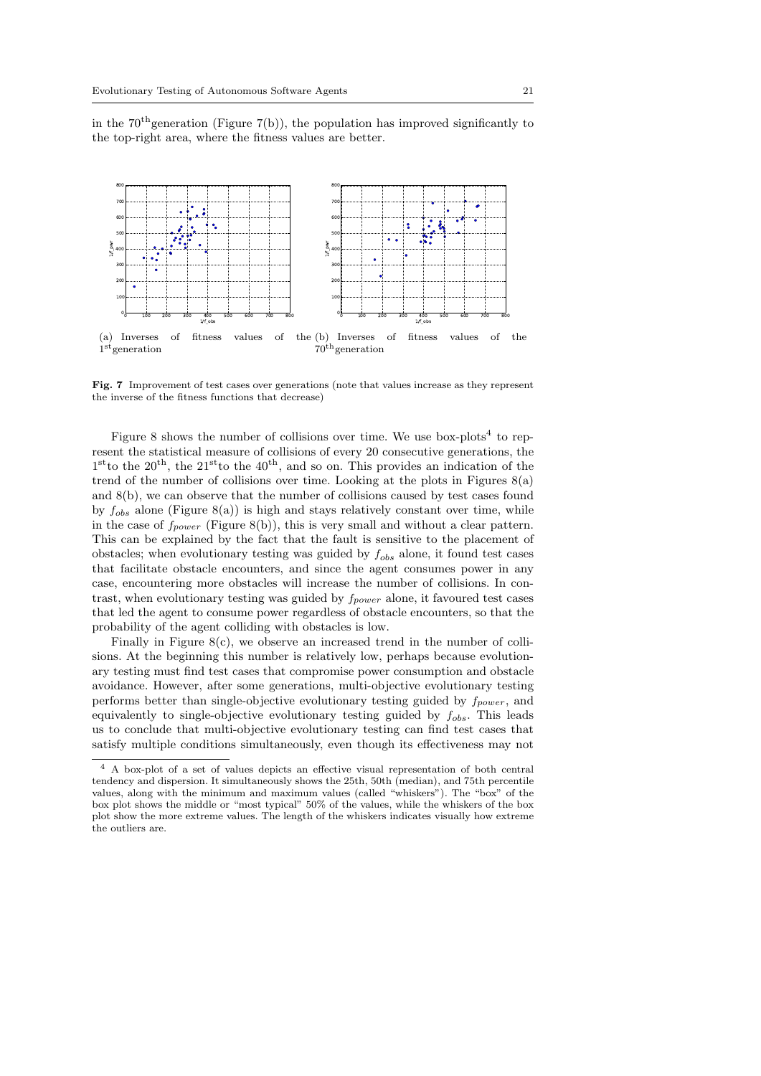in the  $70<sup>th</sup>$ generation (Figure 7(b)), the population has improved significantly to the top-right area, where the fitness values are better.



Fig. 7 Improvement of test cases over generations (note that values increase as they represent the inverse of the fitness functions that decrease)

Figure 8 shows the number of collisions over time. We use box-plots<sup>4</sup> to represent the statistical measure of collisions of every 20 consecutive generations, the  $1<sup>st</sup>$  to the  $20<sup>th</sup>$ , the  $21<sup>st</sup>$  to the  $40<sup>th</sup>$ , and so on. This provides an indication of the trend of the number of collisions over time. Looking at the plots in Figures  $8(a)$ and 8(b), we can observe that the number of collisions caused by test cases found by  $f_{obs}$  alone (Figure 8(a)) is high and stays relatively constant over time, while in the case of  $f_{power}$  (Figure 8(b)), this is very small and without a clear pattern. This can be explained by the fact that the fault is sensitive to the placement of obstacles; when evolutionary testing was guided by  $f_{obs}$  alone, it found test cases that facilitate obstacle encounters, and since the agent consumes power in any case, encountering more obstacles will increase the number of collisions. In contrast, when evolutionary testing was guided by  $f_{power}$  alone, it favoured test cases that led the agent to consume power regardless of obstacle encounters, so that the probability of the agent colliding with obstacles is low.

Finally in Figure  $8(c)$ , we observe an increased trend in the number of collisions. At the beginning this number is relatively low, perhaps because evolutionary testing must find test cases that compromise power consumption and obstacle avoidance. However, after some generations, multi-objective evolutionary testing performs better than single-objective evolutionary testing guided by fpower, and equivalently to single-objective evolutionary testing guided by  $f_{obs}$ . This leads us to conclude that multi-objective evolutionary testing can find test cases that satisfy multiple conditions simultaneously, even though its effectiveness may not

<sup>4</sup> A box-plot of a set of values depicts an effective visual representation of both central tendency and dispersion. It simultaneously shows the 25th, 50th (median), and 75th percentile values, along with the minimum and maximum values (called "whiskers"). The "box" of the box plot shows the middle or "most typical" 50% of the values, while the whiskers of the box plot show the more extreme values. The length of the whiskers indicates visually how extreme the outliers are.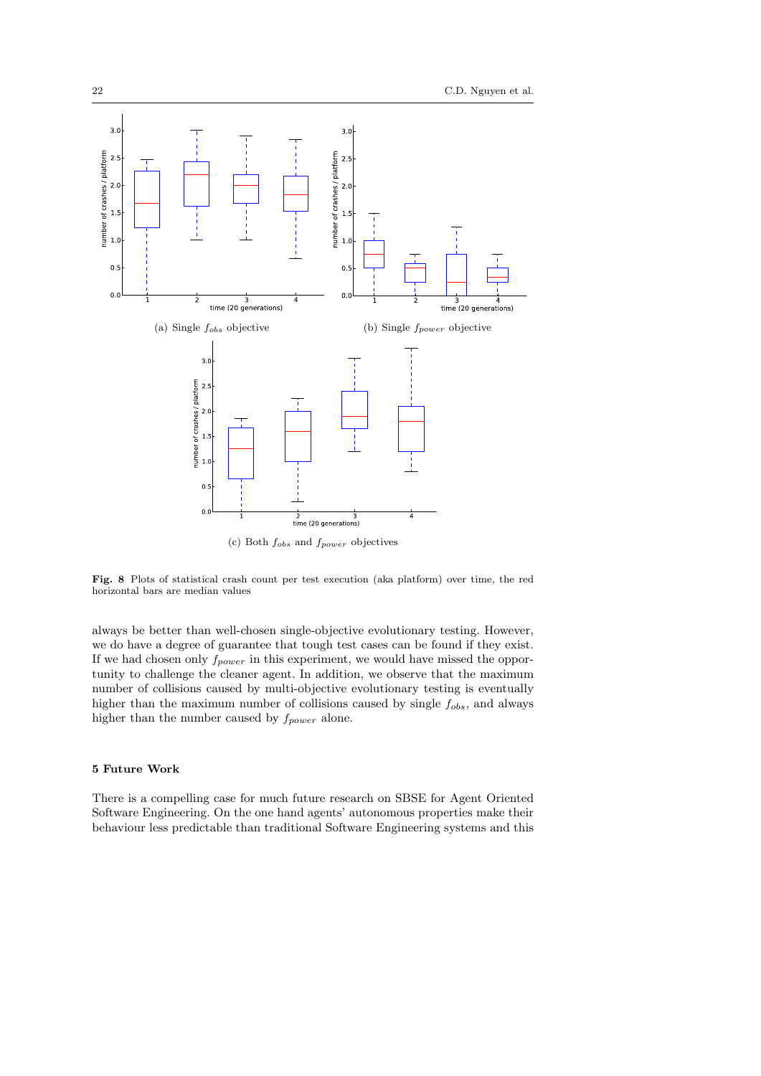

Fig. 8 Plots of statistical crash count per test execution (aka platform) over time, the red horizontal bars are median values

always be better than well-chosen single-objective evolutionary testing. However, we do have a degree of guarantee that tough test cases can be found if they exist. If we had chosen only  $f_{power}$  in this experiment, we would have missed the opportunity to challenge the cleaner agent. In addition, we observe that the maximum number of collisions caused by multi-objective evolutionary testing is eventually higher than the maximum number of collisions caused by single  $f_{obs}$ , and always higher than the number caused by  $f_{power}$  alone.

# 5 Future Work

There is a compelling case for much future research on SBSE for Agent Oriented Software Engineering. On the one hand agents' autonomous properties make their behaviour less predictable than traditional Software Engineering systems and this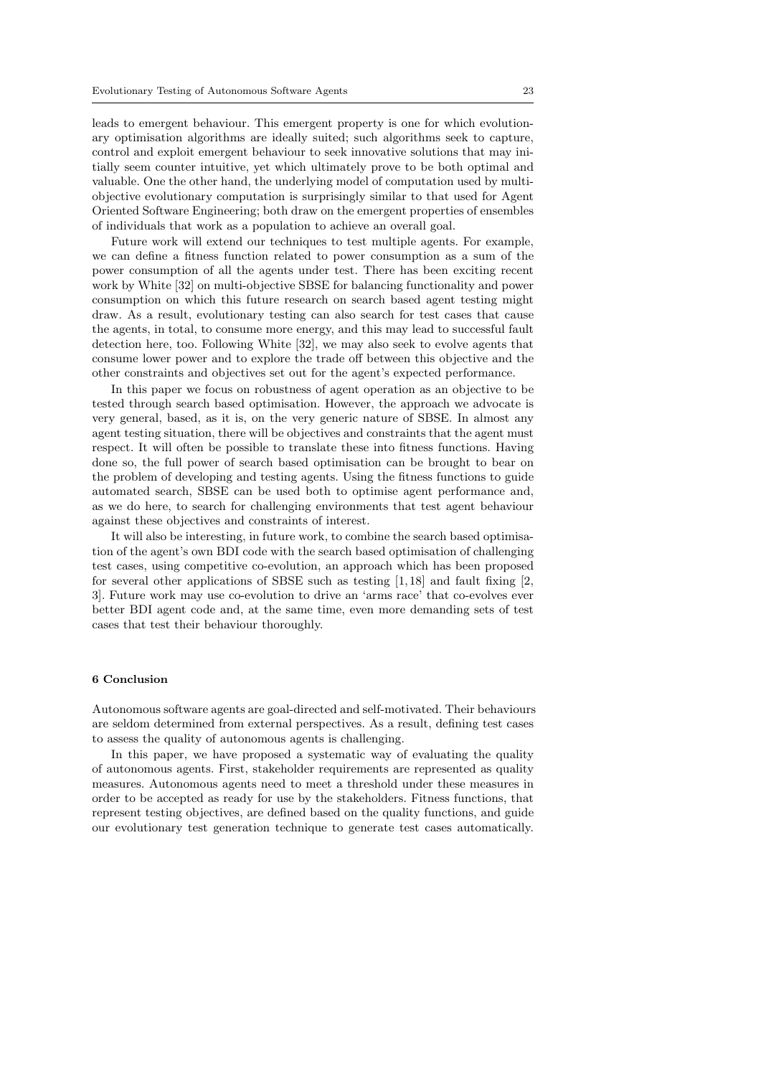leads to emergent behaviour. This emergent property is one for which evolutionary optimisation algorithms are ideally suited; such algorithms seek to capture, control and exploit emergent behaviour to seek innovative solutions that may initially seem counter intuitive, yet which ultimately prove to be both optimal and valuable. One the other hand, the underlying model of computation used by multiobjective evolutionary computation is surprisingly similar to that used for Agent Oriented Software Engineering; both draw on the emergent properties of ensembles of individuals that work as a population to achieve an overall goal.

Future work will extend our techniques to test multiple agents. For example, we can define a fitness function related to power consumption as a sum of the power consumption of all the agents under test. There has been exciting recent work by White [32] on multi-objective SBSE for balancing functionality and power consumption on which this future research on search based agent testing might draw. As a result, evolutionary testing can also search for test cases that cause the agents, in total, to consume more energy, and this may lead to successful fault detection here, too. Following White [32], we may also seek to evolve agents that consume lower power and to explore the trade off between this objective and the other constraints and objectives set out for the agent's expected performance.

In this paper we focus on robustness of agent operation as an objective to be tested through search based optimisation. However, the approach we advocate is very general, based, as it is, on the very generic nature of SBSE. In almost any agent testing situation, there will be objectives and constraints that the agent must respect. It will often be possible to translate these into fitness functions. Having done so, the full power of search based optimisation can be brought to bear on the problem of developing and testing agents. Using the fitness functions to guide automated search, SBSE can be used both to optimise agent performance and, as we do here, to search for challenging environments that test agent behaviour against these objectives and constraints of interest.

It will also be interesting, in future work, to combine the search based optimisation of the agent's own BDI code with the search based optimisation of challenging test cases, using competitive co-evolution, an approach which has been proposed for several other applications of SBSE such as testing [1, 18] and fault fixing [2, 3]. Future work may use co-evolution to drive an 'arms race' that co-evolves ever better BDI agent code and, at the same time, even more demanding sets of test cases that test their behaviour thoroughly.

# 6 Conclusion

Autonomous software agents are goal-directed and self-motivated. Their behaviours are seldom determined from external perspectives. As a result, defining test cases to assess the quality of autonomous agents is challenging.

In this paper, we have proposed a systematic way of evaluating the quality of autonomous agents. First, stakeholder requirements are represented as quality measures. Autonomous agents need to meet a threshold under these measures in order to be accepted as ready for use by the stakeholders. Fitness functions, that represent testing objectives, are defined based on the quality functions, and guide our evolutionary test generation technique to generate test cases automatically.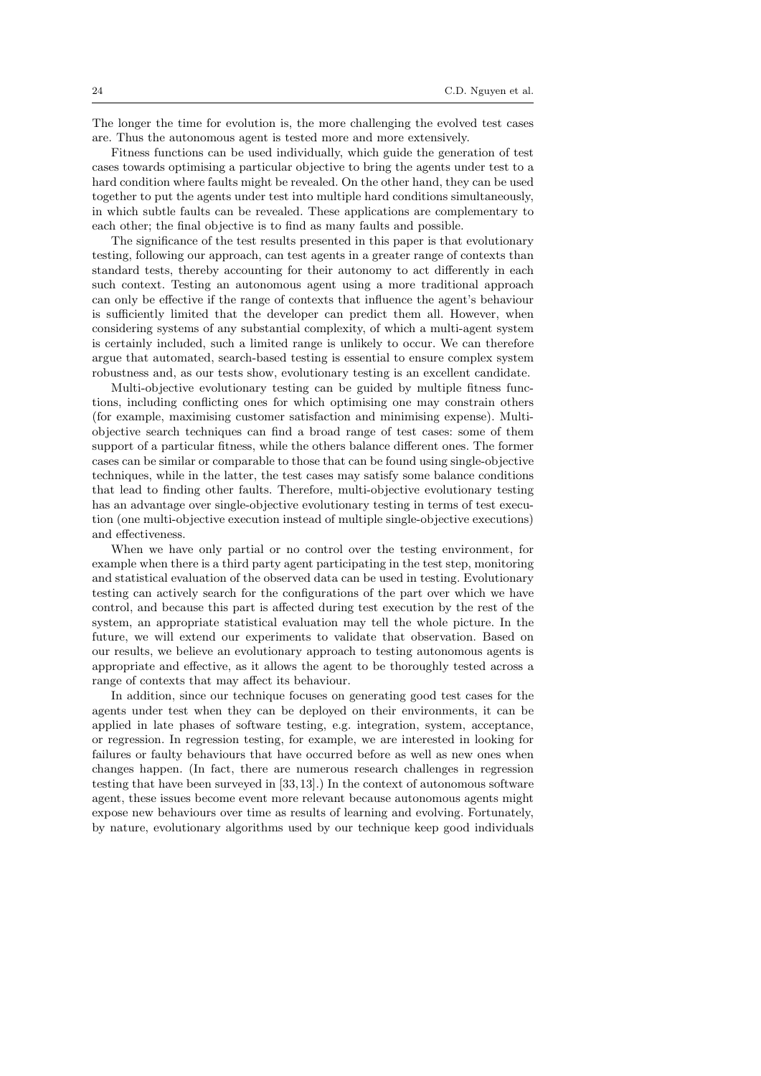The longer the time for evolution is, the more challenging the evolved test cases are. Thus the autonomous agent is tested more and more extensively.

Fitness functions can be used individually, which guide the generation of test cases towards optimising a particular objective to bring the agents under test to a hard condition where faults might be revealed. On the other hand, they can be used together to put the agents under test into multiple hard conditions simultaneously, in which subtle faults can be revealed. These applications are complementary to each other; the final objective is to find as many faults and possible.

The significance of the test results presented in this paper is that evolutionary testing, following our approach, can test agents in a greater range of contexts than standard tests, thereby accounting for their autonomy to act differently in each such context. Testing an autonomous agent using a more traditional approach can only be effective if the range of contexts that influence the agent's behaviour is sufficiently limited that the developer can predict them all. However, when considering systems of any substantial complexity, of which a multi-agent system is certainly included, such a limited range is unlikely to occur. We can therefore argue that automated, search-based testing is essential to ensure complex system robustness and, as our tests show, evolutionary testing is an excellent candidate.

Multi-objective evolutionary testing can be guided by multiple fitness functions, including conflicting ones for which optimising one may constrain others (for example, maximising customer satisfaction and minimising expense). Multiobjective search techniques can find a broad range of test cases: some of them support of a particular fitness, while the others balance different ones. The former cases can be similar or comparable to those that can be found using single-objective techniques, while in the latter, the test cases may satisfy some balance conditions that lead to finding other faults. Therefore, multi-objective evolutionary testing has an advantage over single-objective evolutionary testing in terms of test execution (one multi-objective execution instead of multiple single-objective executions) and effectiveness.

When we have only partial or no control over the testing environment, for example when there is a third party agent participating in the test step, monitoring and statistical evaluation of the observed data can be used in testing. Evolutionary testing can actively search for the configurations of the part over which we have control, and because this part is affected during test execution by the rest of the system, an appropriate statistical evaluation may tell the whole picture. In the future, we will extend our experiments to validate that observation. Based on our results, we believe an evolutionary approach to testing autonomous agents is appropriate and effective, as it allows the agent to be thoroughly tested across a range of contexts that may affect its behaviour.

In addition, since our technique focuses on generating good test cases for the agents under test when they can be deployed on their environments, it can be applied in late phases of software testing, e.g. integration, system, acceptance, or regression. In regression testing, for example, we are interested in looking for failures or faulty behaviours that have occurred before as well as new ones when changes happen. (In fact, there are numerous research challenges in regression testing that have been surveyed in [33, 13].) In the context of autonomous software agent, these issues become event more relevant because autonomous agents might expose new behaviours over time as results of learning and evolving. Fortunately, by nature, evolutionary algorithms used by our technique keep good individuals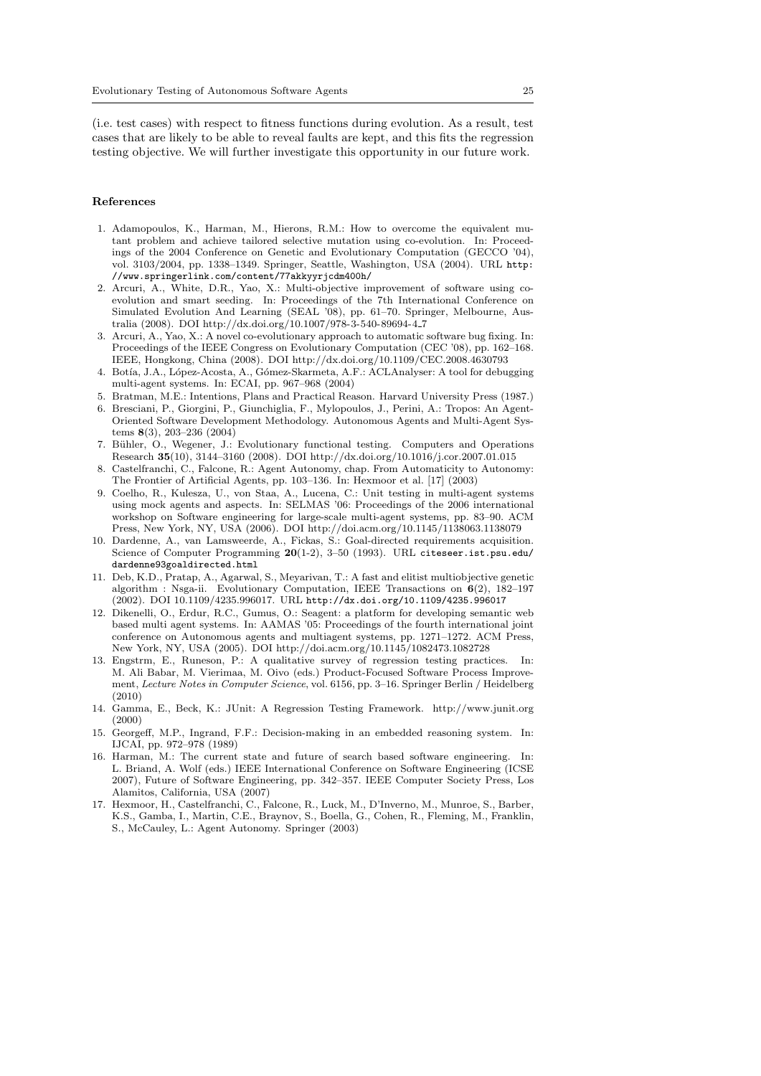(i.e. test cases) with respect to fitness functions during evolution. As a result, test cases that are likely to be able to reveal faults are kept, and this fits the regression testing objective. We will further investigate this opportunity in our future work.

# References

- 1. Adamopoulos, K., Harman, M., Hierons, R.M.: How to overcome the equivalent mutant problem and achieve tailored selective mutation using co-evolution. In: Proceedings of the 2004 Conference on Genetic and Evolutionary Computation (GECCO '04), vol. 3103/2004, pp. 1338–1349. Springer, Seattle, Washington, USA (2004). URL http: //www.springerlink.com/content/77akkyyrjcdm400h/
- 2. Arcuri, A., White, D.R., Yao, X.: Multi-objective improvement of software using coevolution and smart seeding. In: Proceedings of the 7th International Conference on Simulated Evolution And Learning (SEAL '08), pp. 61–70. Springer, Melbourne, Australia (2008). DOI http://dx.doi.org/10.1007/978-3-540-89694-4 7
- 3. Arcuri, A., Yao, X.: A novel co-evolutionary approach to automatic software bug fixing. In: Proceedings of the IEEE Congress on Evolutionary Computation (CEC '08), pp. 162–168. IEEE, Hongkong, China (2008). DOI http://dx.doi.org/10.1109/CEC.2008.4630793
- 4. Botía, J.A., López-Acosta, A., Gómez-Skarmeta, A.F.: ACLAnalyser: A tool for debugging multi-agent systems. In: ECAI, pp. 967–968 (2004)
- 5. Bratman, M.E.: Intentions, Plans and Practical Reason. Harvard University Press (1987.) 6. Bresciani, P., Giorgini, P., Giunchiglia, F., Mylopoulos, J., Perini, A.: Tropos: An Agent-
- Oriented Software Development Methodology. Autonomous Agents and Multi-Agent Systems 8(3), 203–236 (2004) 7. Bühler, O., Wegener, J.: Evolutionary functional testing. Computers and Operations
- Research 35(10), 3144–3160 (2008). DOI http://dx.doi.org/10.1016/j.cor.2007.01.015
- 8. Castelfranchi, C., Falcone, R.: Agent Autonomy, chap. From Automaticity to Autonomy: The Frontier of Artificial Agents, pp. 103–136. In: Hexmoor et al. [17] (2003)
- 9. Coelho, R., Kulesza, U., von Staa, A., Lucena, C.: Unit testing in multi-agent systems using mock agents and aspects. In: SELMAS '06: Proceedings of the 2006 international workshop on Software engineering for large-scale multi-agent systems, pp. 83–90. ACM Press, New York, NY, USA (2006). DOI http://doi.acm.org/10.1145/1138063.1138079
- 10. Dardenne, A., van Lamsweerde, A., Fickas, S.: Goal-directed requirements acquisition. Science of Computer Programming 20(1-2), 3–50 (1993). URL citeseer.ist.psu.edu/ dardenne93goaldirected.html
- 11. Deb, K.D., Pratap, A., Agarwal, S., Meyarivan, T.: A fast and elitist multiobjective genetic algorithm : Nsga-ii. Evolutionary Computation, IEEE Transactions on 6(2), 182–197 (2002). DOI 10.1109/4235.996017. URL http://dx.doi.org/10.1109/4235.996017
- 12. Dikenelli, O., Erdur, R.C., Gumus, O.: Seagent: a platform for developing semantic web based multi agent systems. In: AAMAS '05: Proceedings of the fourth international joint conference on Autonomous agents and multiagent systems, pp. 1271–1272. ACM Press, New York, NY, USA (2005). DOI http://doi.acm.org/10.1145/1082473.1082728
- 13. Engstrm, E., Runeson, P.: A qualitative survey of regression testing practices. In: M. Ali Babar, M. Vierimaa, M. Oivo (eds.) Product-Focused Software Process Improvement, Lecture Notes in Computer Science, vol. 6156, pp. 3–16. Springer Berlin / Heidelberg (2010)
- 14. Gamma, E., Beck, K.: JUnit: A Regression Testing Framework. http://www.junit.org (2000)
- 15. Georgeff, M.P., Ingrand, F.F.: Decision-making in an embedded reasoning system. In: IJCAI, pp. 972–978 (1989)
- 16. Harman, M.: The current state and future of search based software engineering. In: L. Briand, A. Wolf (eds.) IEEE International Conference on Software Engineering (ICSE 2007), Future of Software Engineering, pp. 342–357. IEEE Computer Society Press, Los Alamitos, California, USA (2007)
- 17. Hexmoor, H., Castelfranchi, C., Falcone, R., Luck, M., D'Inverno, M., Munroe, S., Barber, K.S., Gamba, I., Martin, C.E., Braynov, S., Boella, G., Cohen, R., Fleming, M., Franklin, S., McCauley, L.: Agent Autonomy. Springer (2003)